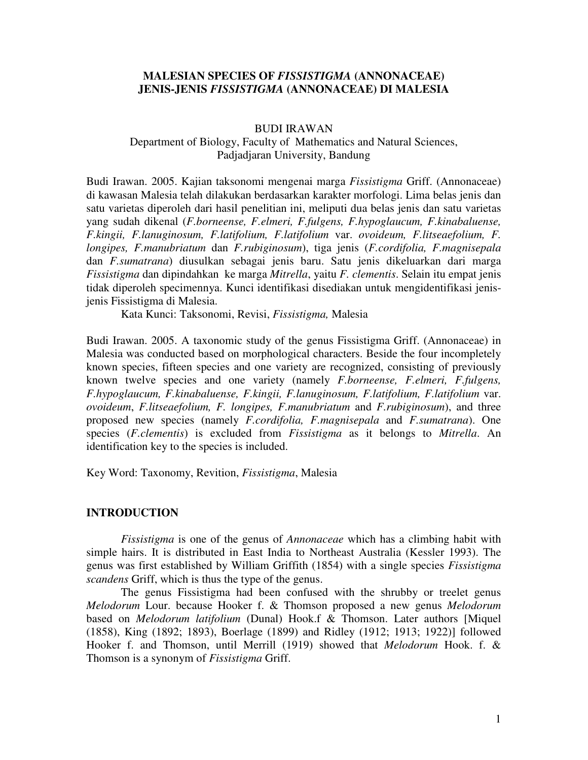## **MALESIAN SPECIES OF** *FISSISTIGMA* **(ANNONACEAE) JENIS-JENIS** *FISSISTIGMA* **(ANNONACEAE) DI MALESIA**

#### BUDI IRAWAN

## Department of Biology, Faculty of Mathematics and Natural Sciences, Padjadjaran University, Bandung

Budi Irawan. 2005. Kajian taksonomi mengenai marga *Fissistigma* Griff. (Annonaceae) di kawasan Malesia telah dilakukan berdasarkan karakter morfologi. Lima belas jenis dan satu varietas diperoleh dari hasil penelitian ini, meliputi dua belas jenis dan satu varietas yang sudah dikenal (*F.borneense, F.elmeri, F.fulgens, F.hypoglaucum, F.kinabaluense, F.kingii, F.lanuginosum, F.latifolium, F.latifolium* var. *ovoideum, F.litseaefolium, F. longipes, F.manubriatum* dan *F.rubiginosum*), tiga jenis (*F.cordifolia, F.magnisepala* dan *F.sumatrana*) diusulkan sebagai jenis baru. Satu jenis dikeluarkan dari marga *Fissistigma* dan dipindahkan ke marga *Mitrella*, yaitu *F. clementis*. Selain itu empat jenis tidak diperoleh specimennya. Kunci identifikasi disediakan untuk mengidentifikasi jenisjenis Fissistigma di Malesia.

Kata Kunci: Taksonomi, Revisi, *Fissistigma,* Malesia

Budi Irawan. 2005. A taxonomic study of the genus Fissistigma Griff. (Annonaceae) in Malesia was conducted based on morphological characters. Beside the four incompletely known species, fifteen species and one variety are recognized, consisting of previously known twelve species and one variety (namely *F.borneense, F.elmeri, F.fulgens, F.hypoglaucum, F.kinabaluense, F.kingii, F.lanuginosum, F.latifolium, F.latifolium* var. *ovoideum*, *F.litseaefolium, F. longipes, F.manubriatum* and *F.rubiginosum*), and three proposed new species (namely *F.cordifolia, F.magnisepala* and *F.sumatrana*). One species (*F.clementis*) is excluded from *Fissistigma* as it belongs to *Mitrella*. An identification key to the species is included.

Key Word: Taxonomy, Revition, *Fissistigma*, Malesia

#### **INTRODUCTION**

*Fissistigma* is one of the genus of *Annonaceae* which has a climbing habit with simple hairs. It is distributed in East India to Northeast Australia (Kessler 1993). The genus was first established by William Griffith (1854) with a single species *Fissistigma scandens* Griff, which is thus the type of the genus.

The genus Fissistigma had been confused with the shrubby or treelet genus *Melodorum* Lour. because Hooker f. & Thomson proposed a new genus *Melodorum* based on *Melodorum latifolium* (Dunal) Hook.f & Thomson. Later authors [Miquel (1858), King (1892; 1893), Boerlage (1899) and Ridley (1912; 1913; 1922)] followed Hooker f. and Thomson, until Merrill (1919) showed that *Melodorum* Hook. f. & Thomson is a synonym of *Fissistigma* Griff.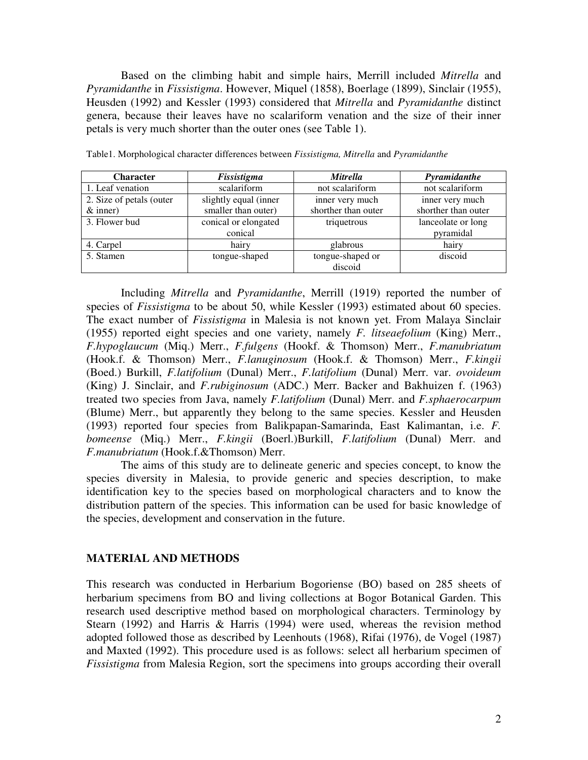Based on the climbing habit and simple hairs, Merrill included *Mitrella* and *Pyramidanthe* in *Fissistigma*. However, Miquel (1858), Boerlage (1899), Sinclair (1955), Heusden (1992) and Kessler (1993) considered that *Mitrella* and *Pyramidanthe* distinct genera, because their leaves have no scalariform venation and the size of their inner petals is very much shorter than the outer ones (see Table 1).

| <b>Character</b>         | Fissistigma           | <b>Mitrella</b>     | Pyramidanthe        |  |
|--------------------------|-----------------------|---------------------|---------------------|--|
| 1. Leaf venation         | scalariform           | not scalariform     | not scalariform     |  |
| 2. Size of petals (outer | slightly equal (inner | inner very much     | inner very much     |  |
| $&$ inner)               | smaller than outer)   | shorther than outer | shorther than outer |  |
| 3. Flower bud            | conical or elongated  | triquetrous         | lanceolate or long  |  |
|                          | conical               |                     | pyramidal           |  |
| 4. Carpel                | hairy                 | glabrous            | hairy               |  |
| 5. Stamen                | tongue-shaped         | tongue-shaped or    | discoid             |  |
|                          |                       | discoid             |                     |  |

Table1. Morphological character differences between *Fissistigma, Mitrella* and *Pyramidanthe*

Including *Mitrella* and *Pyramidanthe*, Merrill (1919) reported the number of species of *Fissistigma* to be about 50, while Kessler (1993) estimated about 60 species. The exact number of *Fissistigma* in Malesia is not known yet. From Malaya Sinclair (1955) reported eight species and one variety, namely *F. litseaefolium* (King) Merr., *F.hypoglaucum* (Miq.) Merr., *F.fulgens* (Hookf. & Thomson) Merr., *F.manubriatum* (Hook.f. & Thomson) Merr., *F.lanuginosum* (Hook.f. & Thomson) Merr., *F.kingii* (Boed.) Burkill, *F.latifolium* (Dunal) Merr., *F.latifolium* (Dunal) Merr. var. *ovoideum* (King) J. Sinclair, and *F.rubiginosum* (ADC.) Merr. Backer and Bakhuizen f. (1963) treated two species from Java, namely *F.latifolium* (Dunal) Merr. and *F.sphaerocarpum* (Blume) Merr., but apparently they belong to the same species. Kessler and Heusden (1993) reported four species from Balikpapan-Samarinda, East Kalimantan, i.e. *F. bomeense* (Miq.) Merr., *F.kingii* (Boerl.)Burkill, *F.latifolium* (Dunal) Merr. and *F.manubriatum* (Hook.f.&Thomson) Merr.

The aims of this study are to delineate generic and species concept, to know the species diversity in Malesia, to provide generic and species description, to make identification key to the species based on morphological characters and to know the distribution pattern of the species. This information can be used for basic knowledge of the species, development and conservation in the future.

#### **MATERIAL AND METHODS**

This research was conducted in Herbarium Bogoriense (BO) based on 285 sheets of herbarium specimens from BO and living collections at Bogor Botanical Garden. This research used descriptive method based on morphological characters. Terminology by Stearn (1992) and Harris & Harris (1994) were used, whereas the revision method adopted followed those as described by Leenhouts (1968), Rifai (1976), de Vogel (1987) and Maxted (1992). This procedure used is as follows: select all herbarium specimen of *Fissistigma* from Malesia Region, sort the specimens into groups according their overall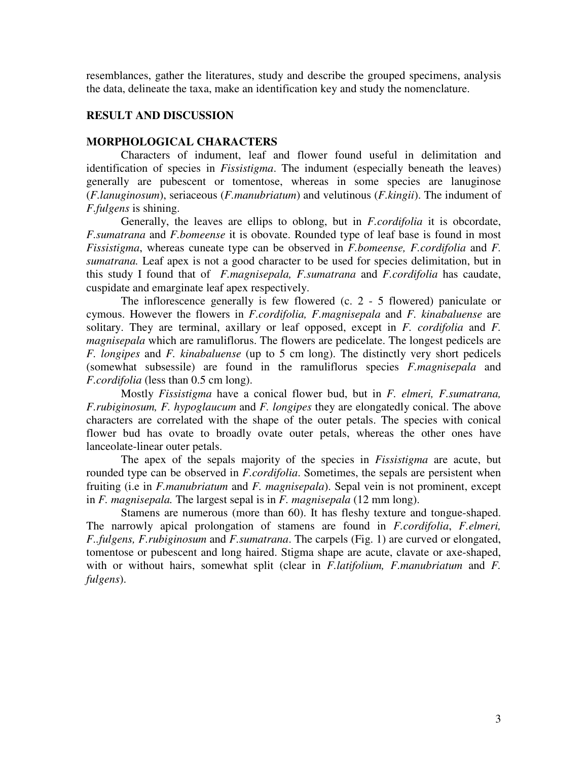resemblances, gather the literatures, study and describe the grouped specimens, analysis the data, delineate the taxa, make an identification key and study the nomenclature.

# **RESULT AND DISCUSSION**

### **MORPHOLOGICAL CHARACTERS**

Characters of indument, leaf and flower found useful in delimitation and identification of species in *Fissistigma*. The indument (especially beneath the leaves) generally are pubescent or tomentose, whereas in some species are lanuginose (*F.lanuginosum*), seriaceous (*F.manubriatum*) and velutinous (*F.kingii*). The indument of *F.fulgens* is shining.

Generally, the leaves are ellips to oblong, but in *F.cordifolia* it is obcordate, *F.sumatrana* and *F.bomeense* it is obovate. Rounded type of leaf base is found in most *Fissistigma*, whereas cuneate type can be observed in *F.bomeense, F.cordifolia* and *F. sumatrana.* Leaf apex is not a good character to be used for species delimitation, but in this study I found that of *F.magnisepala, F.sumatrana* and *F.cordifolia* has caudate, cuspidate and emarginate leaf apex respectively.

The inflorescence generally is few flowered (c. 2 - 5 flowered) paniculate or cymous. However the flowers in *F.cordifolia, F.magnisepala* and *F. kinabaluense* are solitary. They are terminal, axillary or leaf opposed, except in *F. cordifolia* and *F. magnisepala* which are ramuliflorus. The flowers are pedicelate. The longest pedicels are *F. longipes* and *F. kinabaluense* (up to 5 cm long). The distinctly very short pedicels (somewhat subsessile) are found in the ramuliflorus species *F.magnisepala* and *F.cordifolia* (less than 0.5 cm long).

Mostly *Fissistigma* have a conical flower bud, but in *F. elmeri, F.sumatrana, F.rubiginosum, F. hypoglaucum* and *F. longipes* they are elongatedly conical. The above characters are correlated with the shape of the outer petals. The species with conical flower bud has ovate to broadly ovate outer petals, whereas the other ones have lanceolate-linear outer petals.

The apex of the sepals majority of the species in *Fissistigma* are acute, but rounded type can be observed in *F.cordifolia*. Sometimes, the sepals are persistent when fruiting (i.e in *F.manubriatum* and *F. magnisepala*). Sepal vein is not prominent, except in *F. magnisepala.* The largest sepal is in *F. magnisepala* (12 mm long).

Stamens are numerous (more than 60). It has fleshy texture and tongue-shaped. The narrowly apical prolongation of stamens are found in *F.cordifolia*, *F.elmeri, F..fulgens, F.rubiginosum* and *F.sumatrana*. The carpels (Fig. 1) are curved or elongated, tomentose or pubescent and long haired. Stigma shape are acute, clavate or axe-shaped, with or without hairs, somewhat split (clear in *F.latifolium, F.manubriatum* and *F. fulgens*).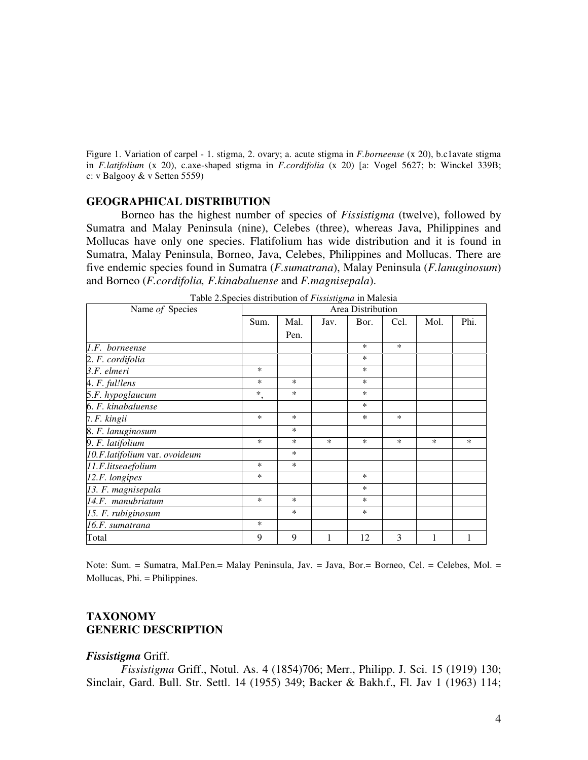Figure 1. Variation of carpel - 1. stigma, 2. ovary; a. acute stigma in *F.borneense* (x 20), b.c1avate stigma in *F.latifolium* (x 20), c.axe-shaped stigma in *F.cordifolia* (x 20) [a: Vogel 5627; b: Winckel 339B; c: v Balgooy & v Setten 5559)

## **GEOGRAPHICAL DISTRIBUTION**

Borneo has the highest number of species of *Fissistigma* (twelve), followed by Sumatra and Malay Peninsula (nine), Celebes (three), whereas Java, Philippines and Mollucas have only one species. Flatifolium has wide distribution and it is found in Sumatra, Malay Peninsula, Borneo, Java, Celebes, Philippines and Mollucas. There are five endemic species found in Sumatra (*F.sumatrana*), Malay Peninsula (*F.lanuginosum*) and Borneo (*F.cordifolia, F.kinabaluense* and *F.magnisepala*).

| Name of Species               | Area Distribution |        |        |        |        |      |      |
|-------------------------------|-------------------|--------|--------|--------|--------|------|------|
|                               | Sum.              | Mal.   | Jav.   | Bor.   | Cel.   | Mol. | Phi. |
|                               |                   | Pen.   |        |        |        |      |      |
| 1.F. borneense                |                   |        |        | $\ast$ | $\ast$ |      |      |
| 2. F. cordifolia              |                   |        |        | $\ast$ |        |      |      |
| 3.F. elmeri                   | $\ast$            |        |        | *      |        |      |      |
| 4. F. ful!lens                | *                 | $\ast$ |        | $\ast$ |        |      |      |
| 5.F. hypoglaucum              | $\ast$<br>$\cdot$ | $\ast$ |        | *      |        |      |      |
| 6. F. kinabaluense            |                   |        |        | *      |        |      |      |
| 7. F. kingii                  | $\ast$            | $\ast$ |        | $\ast$ | $\ast$ |      |      |
| 8. F. lanuginosum             |                   | $\ast$ |        |        |        |      |      |
| 9. F. latifolium              | $\ast$            | $\ast$ | $\ast$ | $\ast$ | $\ast$ | *    | *    |
| 10.F.latifolium var. ovoideum |                   | $\ast$ |        |        |        |      |      |
| 11.F.litseaefolium            | $\ast$            | $\ast$ |        |        |        |      |      |
| 12.F. longipes                | *                 |        |        | *      |        |      |      |
| 13. F. magnisepala            |                   |        |        | *      |        |      |      |
| 14.F. manubriatum             | $\ast$            | $\ast$ |        | $\ast$ |        |      |      |
| 15. F. rubiginosum            |                   | $\ast$ |        | *      |        |      |      |
| 16.F. sumatrana               | $\ast$            |        |        |        |        |      |      |
| Total                         | 9                 | 9      | 1      | 12     | 3      | 1    | 1    |

Table 2.Species distribution of *Fissistigma* in Malesia

Note: Sum. = Sumatra, MaI.Pen.= Malay Peninsula, Jav. = Java, Bor.= Borneo, Cel. = Celebes, Mol. = Mollucas, Phi. = Philippines.

## **TAXONOMY GENERIC DESCRIPTION**

#### *Fissistigma* Griff.

*Fissistigma* Griff., Notul. As. 4 (1854)706; Merr., Philipp. J. Sci. 15 (1919) 130; Sinclair, Gard. Bull. Str. Settl. 14 (1955) 349; Backer & Bakh.f., Fl. Jav 1 (1963) 114;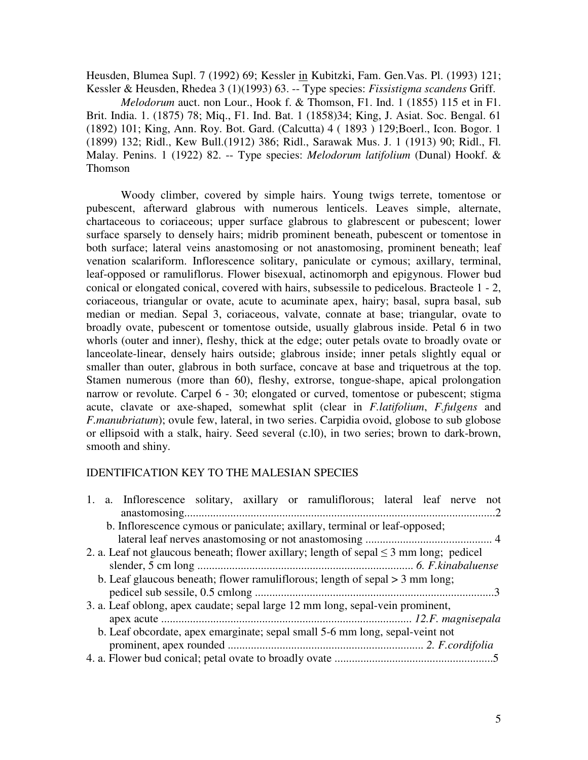Heusden, Blumea Supl. 7 (1992) 69; Kessler in Kubitzki, Fam. Gen.Vas. Pl. (1993) 121; Kessler & Heusden, Rhedea 3 (1)(1993) 63. -- Type species: *Fissistigma scandens* Griff.

*Melodorum* auct. non Lour., Hook f. & Thomson, F1. Ind. 1 (1855) 115 et in F1. Brit. India. 1. (1875) 78; Miq., F1. Ind. Bat. 1 (1858)34; King, J. Asiat. Soc. Bengal. 61 (1892) 101; King, Ann. Roy. Bot. Gard. (Calcutta) 4 ( 1893 ) 129;Boerl., Icon. Bogor. 1 (1899) 132; Ridl., Kew Bull.(1912) 386; Ridl., Sarawak Mus. J. 1 (1913) 90; Ridl., Fl. Malay. Penins. 1 (1922) 82. -- Type species: *Melodorum latifolium* (Dunal) Hookf. & Thomson

Woody climber, covered by simple hairs. Young twigs terrete, tomentose or pubescent, afterward glabrous with numerous lenticels. Leaves simple, alternate, chartaceous to coriaceous; upper surface glabrous to glabrescent or pubescent; lower surface sparsely to densely hairs; midrib prominent beneath, pubescent or tomentose in both surface; lateral veins anastomosing or not anastomosing, prominent beneath; leaf venation scalariform. Inflorescence solitary, paniculate or cymous; axillary, terminal, leaf-opposed or ramuliflorus. Flower bisexual, actinomorph and epigynous. Flower bud conical or elongated conical, covered with hairs, subsessile to pedicelous. Bracteole 1 - 2, coriaceous, triangular or ovate, acute to acuminate apex, hairy; basal, supra basal, sub median or median. Sepal 3, coriaceous, valvate, connate at base; triangular, ovate to broadly ovate, pubescent or tomentose outside, usually glabrous inside. Petal 6 in two whorls (outer and inner), fleshy, thick at the edge; outer petals ovate to broadly ovate or lanceolate-linear, densely hairs outside; glabrous inside; inner petals slightly equal or smaller than outer, glabrous in both surface, concave at base and triquetrous at the top. Stamen numerous (more than 60), fleshy, extrorse, tongue-shape, apical prolongation narrow or revolute. Carpel 6 - 30; elongated or curved, tomentose or pubescent; stigma acute, clavate or axe-shaped, somewhat split (clear in *F.latifolium*, *F.fulgens* and *F.manubriatum*); ovule few, lateral, in two series. Carpidia ovoid, globose to sub globose or ellipsoid with a stalk, hairy. Seed several (c.l0), in two series; brown to dark-brown, smooth and shiny.

# IDENTIFICATION KEY TO THE MALESIAN SPECIES

| 1. a. Inflorescence solitary, axillary or ramuliflorous; lateral leaf nerve not             |  |
|---------------------------------------------------------------------------------------------|--|
|                                                                                             |  |
| b. Inflorescence cymous or paniculate; axillary, terminal or leaf-opposed;                  |  |
|                                                                                             |  |
| 2. a. Leaf not glaucous beneath; flower axillary; length of sepal $\leq$ 3 mm long; pedicel |  |
|                                                                                             |  |
| b. Leaf glaucous beneath; flower ramuliflorous; length of sepal $>$ 3 mm long;              |  |
|                                                                                             |  |
| 3. a. Leaf oblong, apex caudate; sepal large 12 mm long, sepal-vein prominent,              |  |
|                                                                                             |  |
| b. Leaf obcordate, apex emarginate; sepal small 5-6 mm long, sepal-veint not                |  |
|                                                                                             |  |
|                                                                                             |  |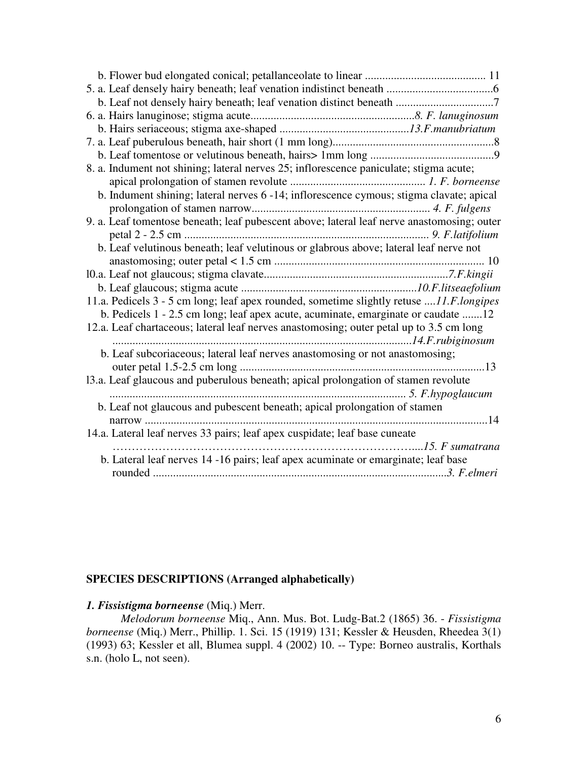| 8. a. Indument not shining; lateral nerves 25; inflorescence paniculate; stigma acute;     |  |
|--------------------------------------------------------------------------------------------|--|
|                                                                                            |  |
| b. Indument shining; lateral nerves 6 -14; inflorescence cymous; stigma clavate; apical    |  |
|                                                                                            |  |
| 9. a. Leaf tomentose beneath; leaf pubescent above; lateral leaf nerve anastomosing; outer |  |
|                                                                                            |  |
| b. Leaf velutinous beneath; leaf velutinous or glabrous above; lateral leaf nerve not      |  |
|                                                                                            |  |
|                                                                                            |  |
|                                                                                            |  |
| 11.a. Pedicels 3 - 5 cm long; leaf apex rounded, sometime slightly retuse 11.F.longipes    |  |
| b. Pedicels 1 - 2.5 cm long; leaf apex acute, acuminate, emarginate or caudate 12          |  |
| 12.a. Leaf chartaceous; lateral leaf nerves anastomosing; outer petal up to 3.5 cm long    |  |
|                                                                                            |  |
| b. Leaf subcoriaceous; lateral leaf nerves anastomosing or not anastomosing;               |  |
|                                                                                            |  |
| 13.a. Leaf glaucous and puberulous beneath; apical prolongation of stamen revolute         |  |
|                                                                                            |  |
| b. Leaf not glaucous and pubescent beneath; apical prolongation of stamen                  |  |
|                                                                                            |  |
| 14.a. Lateral leaf nerves 33 pairs; leaf apex cuspidate; leaf base cuneate                 |  |
|                                                                                            |  |
| b. Lateral leaf nerves 14 -16 pairs; leaf apex acuminate or emarginate; leaf base          |  |
|                                                                                            |  |

# **SPECIES DESCRIPTIONS (Arranged alphabetically)**

# *1. Fissistigma borneense* (Miq.) Merr.

*Melodorum borneense* Miq., Ann. Mus. Bot. Ludg-Bat.2 (1865) 36. - *Fissistigma borneense* (Miq.) Merr., Phillip. 1. Sci. 15 (1919) 131; Kessler & Heusden, Rheedea 3(1) (1993) 63; Kessler et all, Blumea suppl. 4 (2002) 10. -- Type: Borneo australis, Korthals s.n. (holo L, not seen).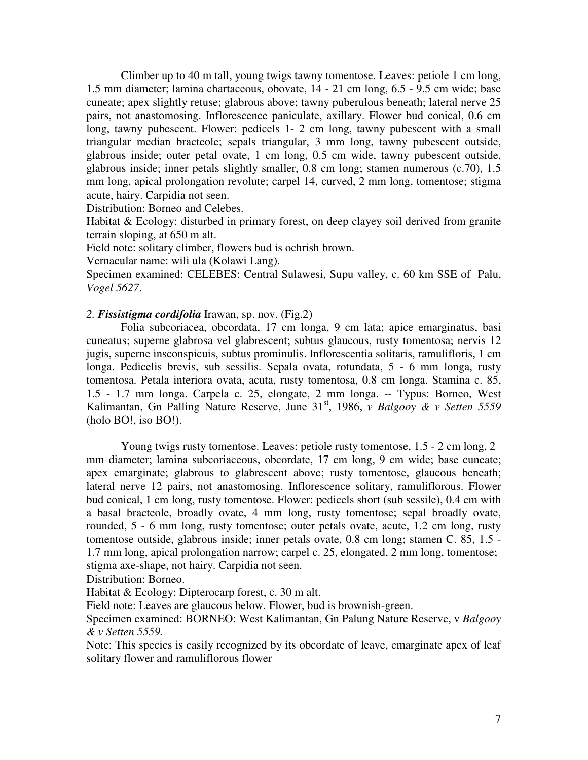Climber up to 40 m tall, young twigs tawny tomentose. Leaves: petiole 1 cm long, 1.5 mm diameter; lamina chartaceous, obovate, 14 - 21 cm long, 6.5 - 9.5 cm wide; base cuneate; apex slightly retuse; glabrous above; tawny puberulous beneath; lateral nerve 25 pairs, not anastomosing. Inflorescence paniculate, axillary. Flower bud conical, 0.6 cm long, tawny pubescent. Flower: pedicels 1- 2 cm long, tawny pubescent with a small triangular median bracteole; sepals triangular, 3 mm long, tawny pubescent outside, glabrous inside; outer petal ovate, 1 cm long, 0.5 cm wide, tawny pubescent outside, glabrous inside; inner petals slightly smaller, 0.8 cm long; stamen numerous (c.70), 1.5 mm long, apical prolongation revolute; carpel 14, curved, 2 mm long, tomentose; stigma acute, hairy. Carpidia not seen.

Distribution: Borneo and Celebes.

Habitat & Ecology: disturbed in primary forest, on deep clayey soil derived from granite terrain sloping, at 650 m alt.

Field note: solitary climber, flowers bud is ochrish brown.

Vernacular name: wili ula (Kolawi Lang).

Specimen examined: CELEBES: Central Sulawesi, Supu valley, c. 60 km SSE of Palu, *Vogel 5627*.

*2. Fissistigma cordifolia* Irawan, sp. nov. (Fig.2)

Folia subcoriacea, obcordata, 17 cm longa, 9 cm lata; apice emarginatus, basi cuneatus; superne glabrosa vel glabrescent; subtus glaucous, rusty tomentosa; nervis 12 jugis, superne insconspicuis, subtus prominulis. Inflorescentia solitaris, ramulifloris, 1 cm longa. Pedicelis brevis, sub sessilis. Sepala ovata, rotundata, 5 - 6 mm longa, rusty tomentosa. Petala interiora ovata, acuta, rusty tomentosa, 0.8 cm longa. Stamina c. 85, 1.5 - 1.7 mm longa. Carpela c. 25, elongate, 2 mm longa. -- Typus: Borneo, West Kalimantan, Gn Palling Nature Reserve, June 31<sup>st</sup>, 1986, *v Balgooy & v Setten 5559* (holo BO!, iso BO!).

Young twigs rusty tomentose. Leaves: petiole rusty tomentose, 1.5 - 2 cm long, 2 mm diameter; lamina subcoriaceous, obcordate, 17 cm long, 9 cm wide; base cuneate; apex emarginate; glabrous to glabrescent above; rusty tomentose, glaucous beneath; lateral nerve 12 pairs, not anastomosing. Inflorescence solitary, ramuliflorous. Flower bud conical, 1 cm long, rusty tomentose. Flower: pedicels short (sub sessile), 0.4 cm with a basal bracteole, broadly ovate, 4 mm long, rusty tomentose; sepal broadly ovate, rounded, 5 - 6 mm long, rusty tomentose; outer petals ovate, acute, 1.2 cm long, rusty tomentose outside, glabrous inside; inner petals ovate, 0.8 cm long; stamen C. 85, 1.5 - 1.7 mm long, apical prolongation narrow; carpel c. 25, elongated, 2 mm long, tomentose; stigma axe-shape, not hairy. Carpidia not seen.

Distribution: Borneo.

Habitat & Ecology: Dipterocarp forest, c. 30 m alt.

Field note: Leaves are glaucous below. Flower, bud is brownish-green.

Specimen examined: BORNEO: West Kalimantan, Gn Palung Nature Reserve, v *Balgooy & v Setten 5559.*

Note: This species is easily recognized by its obcordate of leave, emarginate apex of leaf solitary flower and ramuliflorous flower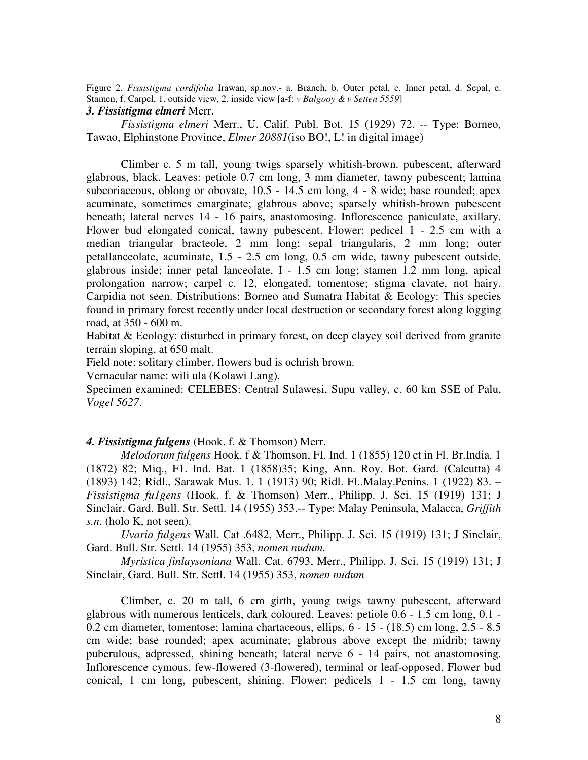Figure 2. *Fissistigma cordifolia* Irawan, sp.nov.- a. Branch, b. Outer petal, c. Inner petal, d. Sepal, e. Stamen, f. Carpel, 1. outside view, 2. inside view [a-f: *v Balgooy & v Setten 5559*]

### *3. Fissistigma elmeri* Merr.

*Fissistigma elmeri* Merr., U. Calif. Publ. Bot. 15 (1929) 72. -- Type: Borneo, Tawao, Elphinstone Province, *Elmer 20881*(iso BO!, L! in digital image)

Climber c. 5 m tall, young twigs sparsely whitish-brown. pubescent, afterward glabrous, black. Leaves: petiole 0.7 cm long, 3 mm diameter, tawny pubescent; lamina subcoriaceous, oblong or obovate, 10.5 - 14.5 cm long, 4 - 8 wide; base rounded; apex acuminate, sometimes emarginate; glabrous above; sparsely whitish-brown pubescent beneath; lateral nerves 14 - 16 pairs, anastomosing. Inflorescence paniculate, axillary. Flower bud elongated conical, tawny pubescent. Flower: pedicel 1 - 2.5 cm with a median triangular bracteole, 2 mm long; sepal triangularis, 2 mm long; outer petallanceolate, acuminate, 1.5 - 2.5 cm long, 0.5 cm wide, tawny pubescent outside, glabrous inside; inner petal lanceolate, I - 1.5 cm long; stamen 1.2 mm long, apical prolongation narrow; carpel c. 12, elongated, tomentose; stigma clavate, not hairy. Carpidia not seen. Distributions: Borneo and Sumatra Habitat & Ecology: This species found in primary forest recently under local destruction or secondary forest along logging road, at 350 - 600 m.

Habitat & Ecology: disturbed in primary forest, on deep clayey soil derived from granite terrain sloping, at 650 malt.

Field note: solitary climber, flowers bud is ochrish brown.

Vernacular name: wili ula (Kolawi Lang).

Specimen examined: CELEBES: Central Sulawesi, Supu valley, c. 60 km SSE of Palu, *Vogel 5627*.

# *4. Fissistigma fulgens* (Hook. f. & Thomson) Merr.

*Melodorum fulgens* Hook. f & Thomson, FI. Ind. 1 (1855) 120 et in Fl. Br.India. 1 (1872) 82; Miq., F1. Ind. Bat. 1 (1858)35; King, Ann. Roy. Bot. Gard. (Calcutta) 4 (1893) 142; Ridl., Sarawak Mus. 1. 1 (1913) 90; Ridl. FI..Malay.Penins. 1 (1922) 83. – *Fissistigma fu1gens* (Hook. f. & Thomson) Merr., Philipp. J. Sci. 15 (1919) 131; J Sinclair, Gard. Bull. Str. Settl. 14 (1955) 353.-- Type: Malay Peninsula, Malacca, *Griffith s.n.* (holo K, not seen).

*Uvaria fulgens* Wall. Cat .6482, Merr., Philipp. J. Sci. 15 (1919) 131; J Sinclair, Gard. Bull. Str. Settl. 14 (1955) 353, *nomen nudum.*

*Myristica finlaysoniana* Wall. Cat. 6793, Merr., Philipp. J. Sci. 15 (1919) 131; J Sinclair, Gard. Bull. Str. Settl. 14 (1955) 353, *nomen nudum*

Climber, c. 20 m tall, 6 cm girth, young twigs tawny pubescent, afterward glabrous with numerous lenticels, dark coloured. Leaves: petiole 0.6 - 1.5 cm long, 0.1 - 0.2 cm diameter, tomentose; lamina chartaceous, ellips, 6 - 15 - (18.5) cm long, 2.5 - 8.5 cm wide; base rounded; apex acuminate; glabrous above except the midrib; tawny puberulous, adpressed, shining beneath; lateral nerve 6 - 14 pairs, not anastomosing. Inflorescence cymous, few-flowered (3-flowered), terminal or leaf-opposed. Flower bud conical, 1 cm long, pubescent, shining. Flower: pedicels 1 - 1.5 cm long, tawny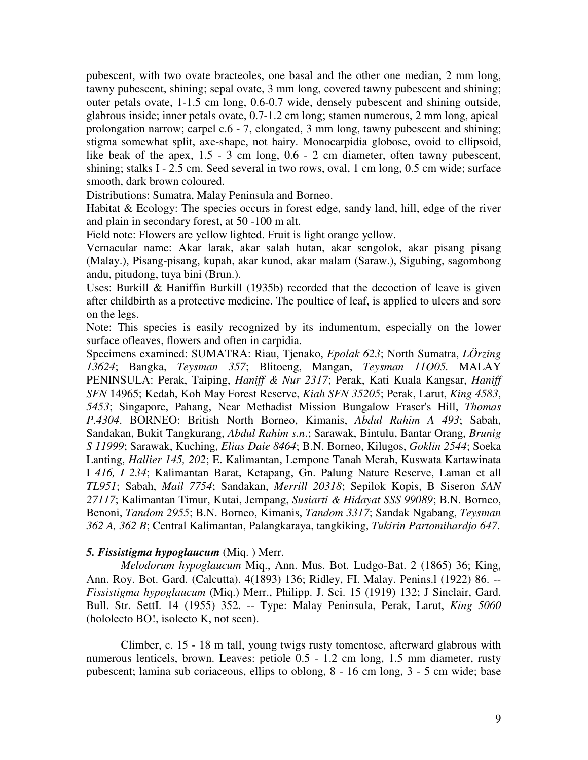pubescent, with two ovate bracteoles, one basal and the other one median, 2 mm long, tawny pubescent, shining; sepal ovate, 3 mm long, covered tawny pubescent and shining; outer petals ovate, 1-1.5 cm long, 0.6-0.7 wide, densely pubescent and shining outside, glabrous inside; inner petals ovate, 0.7-1.2 cm long; stamen numerous, 2 mm long, apical prolongation narrow; carpel c.6 - 7, elongated, 3 mm long, tawny pubescent and shining; stigma somewhat split, axe-shape, not hairy. Monocarpidia globose, ovoid to ellipsoid, like beak of the apex, 1.5 - 3 cm long, 0.6 - 2 cm diameter, often tawny pubescent, shining; stalks I - 2.5 cm. Seed several in two rows, oval, 1 cm long, 0.5 cm wide; surface smooth, dark brown coloured.

Distributions: Sumatra, Malay Peninsula and Borneo.

Habitat & Ecology: The species occurs in forest edge, sandy land, hill, edge of the river and plain in secondary forest, at 50 -100 m alt.

Field note: Flowers are yellow lighted. Fruit is light orange yellow.

Vernacular name: Akar larak, akar salah hutan, akar sengolok, akar pisang pisang (Malay.), Pisang-pisang, kupah, akar kunod, akar malam (Saraw.), Sigubing, sagombong andu, pitudong, tuya bini (Brun.).

Uses: Burkill & Haniffin Burkill (1935b) recorded that the decoction of leave is given after childbirth as a protective medicine. The poultice of leaf, is applied to ulcers and sore on the legs.

Note: This species is easily recognized by its indumentum, especially on the lower surface ofleaves, flowers and often in carpidia.

Specimens examined: SUMATRA: Riau, Tjenako, *Epolak 623*; North Sumatra, *LÖrzing 13624*; Bangka, *Teysman 357*; Blitoeng, Mangan, *Teysman 11O05.* MALAY PENINSULA: Perak, Taiping, *Haniff & Nur 2317*; Perak, Kati Kuala Kangsar, *Haniff SFN* 14965; Kedah, Koh May Forest Reserve, *Kiah SFN 35205*; Perak, Larut, *King 4583*, *5453*; Singapore, Pahang, Near Methadist Mission Bungalow Fraser's Hill, *Thomas P.4304*. BORNEO: British North Borneo, Kimanis, *Abdul Rahim A 493*; Sabah, Sandakan, Bukit Tangkurang, *Abdul Rahim s.n*.; Sarawak, Bintulu, Bantar Orang, *Brunig S 11999*; Sarawak, Kuching, *Elias Daie 8464*; B.N. Borneo, Kilugos, *Goklin 2544*; Soeka Lanting, *Hallier 145, 202*; E. Kalimantan, Lempone Tanah Merah, Kuswata Kartawinata I *416, I 234*; Kalimantan Barat, Ketapang, Gn. Palung Nature Reserve, Laman et all *TL951*; Sabah, *Mail 7754*; Sandakan, *Merrill 20318*; Sepilok Kopis, B Siseron *SAN 27117*; Kalimantan Timur, Kutai, Jempang, *Susiarti & Hidayat SSS 99089*; B.N. Borneo, Benoni, *Tandom 2955*; B.N. Borneo, Kimanis, *Tandom 3317*; Sandak Ngabang, *Teysman 362 A, 362 B*; Central Kalimantan, Palangkaraya, tangkiking, *Tukirin Partomihardjo 647*.

# *5. Fissistigma hypoglaucum* (Miq. ) Merr.

*Melodorum hypoglaucum* Miq., Ann. Mus. Bot. Ludgo-Bat. 2 (1865) 36; King, Ann. Roy. Bot. Gard. (Calcutta). 4(1893) 136; Ridley, FI. Malay. Penins.l (1922) 86. -- *Fissistigma hypoglaucum* (Miq.) Merr., Philipp. J. Sci. 15 (1919) 132; J Sinclair, Gard. Bull. Str. SettI. 14 (1955) 352. -- Type: Malay Peninsula, Perak, Larut, *King 5060* (hololecto BO!, isolecto K, not seen).

Climber, c. 15 - 18 m tall, young twigs rusty tomentose, afterward glabrous with numerous lenticels, brown. Leaves: petiole 0.5 - 1.2 cm long, 1.5 mm diameter, rusty pubescent; lamina sub coriaceous, ellips to oblong, 8 - 16 cm long, 3 - 5 cm wide; base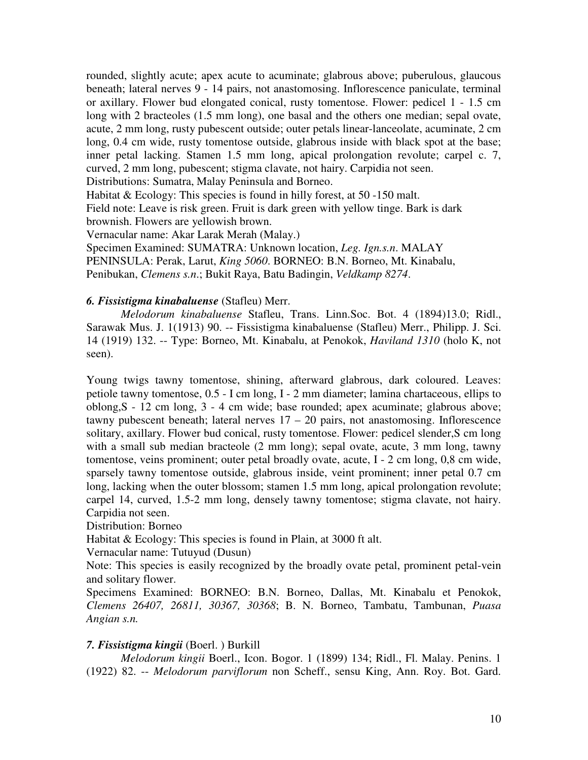rounded, slightly acute; apex acute to acuminate; glabrous above; puberulous, glaucous beneath; lateral nerves 9 - 14 pairs, not anastomosing. Inflorescence paniculate, terminal or axillary. Flower bud elongated conical, rusty tomentose. Flower: pedicel 1 - 1.5 cm long with 2 bracteoles (1.5 mm long), one basal and the others one median; sepal ovate, acute, 2 mm long, rusty pubescent outside; outer petals linear-lanceolate, acuminate, 2 cm long, 0.4 cm wide, rusty tomentose outside, glabrous inside with black spot at the base; inner petal lacking. Stamen 1.5 mm long, apical prolongation revolute; carpel c. 7, curved, 2 mm long, pubescent; stigma clavate, not hairy. Carpidia not seen.

Distributions: Sumatra, Malay Peninsula and Borneo.

Habitat & Ecology: This species is found in hilly forest, at 50 -150 malt. Field note: Leave is risk green. Fruit is dark green with yellow tinge. Bark is dark brownish. Flowers are yellowish brown.

Vernacular name: Akar Larak Merah (Malay.)

Specimen Examined: SUMATRA: Unknown location, *Leg. Ign.s.n*. MALAY PENINSULA: Perak, Larut, *King 5060*. BORNEO: B.N. Borneo, Mt. Kinabalu,

Penibukan, *Clemens s.n*.; Bukit Raya, Batu Badingin, *Veldkamp 8274*.

# *6. Fissistigma kinabaluense* (Stafleu) Merr.

*Melodorum kinabaluense* Stafleu, Trans. Linn.Soc. Bot. 4 (1894)13.0; Ridl., Sarawak Mus. J. 1(1913) 90. -- Fissistigma kinabaluense (Stafleu) Merr., Philipp. J. Sci. 14 (1919) 132. -- Type: Borneo, Mt. Kinabalu, at Penokok, *Haviland 1310* (holo K, not seen).

Young twigs tawny tomentose, shining, afterward glabrous, dark coloured. Leaves: petiole tawny tomentose, 0.5 - I cm long, I - 2 mm diameter; lamina chartaceous, ellips to oblong,S - 12 cm long, 3 - 4 cm wide; base rounded; apex acuminate; glabrous above; tawny pubescent beneath; lateral nerves  $17 - 20$  pairs, not anastomosing. Inflorescence solitary, axillary. Flower bud conical, rusty tomentose. Flower: pedicel slender,S cm long with a small sub median bracteole (2 mm long); sepal ovate, acute, 3 mm long, tawny tomentose, veins prominent; outer petal broadly ovate, acute, I - 2 cm long, 0,8 cm wide, sparsely tawny tomentose outside, glabrous inside, veint prominent; inner petal 0.7 cm long, lacking when the outer blossom; stamen 1.5 mm long, apical prolongation revolute; carpel 14, curved, 1.5-2 mm long, densely tawny tomentose; stigma clavate, not hairy. Carpidia not seen.

Distribution: Borneo

Habitat & Ecology: This species is found in Plain, at 3000 ft alt.

Vernacular name: Tutuyud (Dusun)

Note: This species is easily recognized by the broadly ovate petal, prominent petal-vein and solitary flower.

Specimens Examined: BORNEO: B.N. Borneo, Dallas, Mt. Kinabalu et Penokok, *Clemens 26407, 26811, 30367, 30368*; B. N. Borneo, Tambatu, Tambunan, *Puasa Angian s.n.*

# *7. Fissistigma kingii* (Boerl. ) Burkill

*Melodorum kingii* Boerl., Icon. Bogor. 1 (1899) 134; Ridl., Fl. Malay. Penins. 1 (1922) 82. -- *Melodorum parviflorum* non Scheff., sensu King, Ann. Roy. Bot. Gard.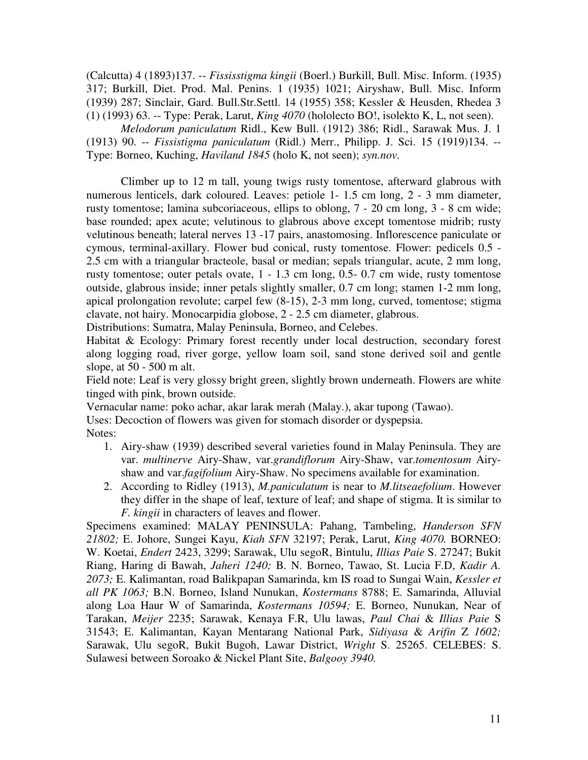(Calcutta) 4 (1893)137. -- *Fississtigma kingii* (Boerl.) Burkill, Bull. Misc. Inform. (1935) 317; Burkill, Diet. Prod. Mal. Penins. 1 (1935) 1021; Airyshaw, Bull. Misc. Inform (1939) 287; Sinclair, Gard. Bull.Str.Settl. 14 (1955) 358; Kessler & Heusden, Rhedea 3 (1) (1993) 63. -- Type: Perak, Larut, *King 4070* (hololecto BO!, isolekto K, L, not seen).

*Melodorum paniculatum* Ridl., Kew Bull. (1912) 386; Ridl., Sarawak Mus. J. 1 (1913) 90. -- *Fissistigma paniculatum* (Ridl.) Merr., Philipp. J. Sci. 15 (1919)134. -- Type: Borneo, Kuching, *Haviland 1845* (holo K, not seen); *syn.nov*.

Climber up to 12 m tall, young twigs rusty tomentose, afterward glabrous with numerous lenticels, dark coloured. Leaves: petiole 1-1.5 cm long, 2 - 3 mm diameter, rusty tomentose; lamina subcoriaceous, ellips to oblong, 7 - 20 cm long, 3 - 8 cm wide; base rounded; apex acute; velutinous to glabrous above except tomentose midrib; rusty velutinous beneath; lateral nerves 13 -17 pairs, anastomosing. Inflorescence paniculate or cymous, terminal-axillary. Flower bud conical, rusty tomentose. Flower: pedicels 0.5 - 2.5 cm with a triangular bracteole, basal or median; sepals triangular, acute, 2 mm long, rusty tomentose; outer petals ovate, 1 - 1.3 cm long, 0.5- 0.7 cm wide, rusty tomentose outside, glabrous inside; inner petals slightly smaller, 0.7 cm long; stamen 1-2 mm long, apical prolongation revolute; carpel few (8-15), 2-3 mm long, curved, tomentose; stigma clavate, not hairy. Monocarpidia globose, 2 - 2.5 cm diameter, glabrous.

Distributions: Sumatra, Malay Peninsula, Borneo, and Celebes.

Habitat & Ecology: Primary forest recently under local destruction, secondary forest along logging road, river gorge, yellow loam soil, sand stone derived soil and gentle slope, at 50 - 500 m alt.

Field note: Leaf is very glossy bright green, slightly brown underneath. Flowers are white tinged with pink, brown outside.

Vernacular name: poko achar, akar larak merah (Malay.), akar tupong (Tawao).

Uses: Decoction of flowers was given for stomach disorder or dyspepsia.

Notes:

- 1. Airy-shaw (1939) described several varieties found in Malay Peninsula. They are var. *multinerve* Airy-Shaw, var.*grandiflorum* Airy-Shaw, var.*tomentosum* Airyshaw and var.*fagifolium* Airy-Shaw. No specimens available for examination.
- 2. According to Ridley (1913), *M.paniculatum* is near to *M.litseaefolium*. However they differ in the shape of leaf, texture of leaf; and shape of stigma. It is similar to *F. kingii* in characters of leaves and flower.

Specimens examined: MALAY PENINSULA: Pahang, Tambeling, *Handerson SFN 21802;* E. Johore, Sungei Kayu, *Kiah SFN* 32197; Perak, Larut, *King 4070.* BORNEO: W. Koetai, *Endert* 2423, 3299; Sarawak, Ulu segoR, Bintulu, *Illias Paie* S. 27247; Bukit Riang, Haring di Bawah, *Jaheri 1240;* B. N. Borneo, Tawao, St. Lucia F.D, *Kadir A. 2073;* E. Kalimantan, road Balikpapan Samarinda, km IS road to Sungai Wain, *Kessler et all PK 1063;* B.N. Borneo, Island Nunukan, *Kostermans* 8788; E. Samarinda, Alluvial along Loa Haur W of Samarinda, *Kostermans 10594;* E. Borneo, Nunukan, Near of Tarakan, *Meijer* 2235; Sarawak, Kenaya F.R, Ulu lawas, *Paul Chai* & *Illias Paie* S 31543; E. Kalimantan, Kayan Mentarang National Park, *Sidiyasa* & *Arifin* Z *1602;* Sarawak, Ulu segoR, Bukit Bugoh, Lawar District, *Wright* S. 25265. CELEBES: S. Sulawesi between Soroako & Nickel Plant Site, *Balgooy 3940.*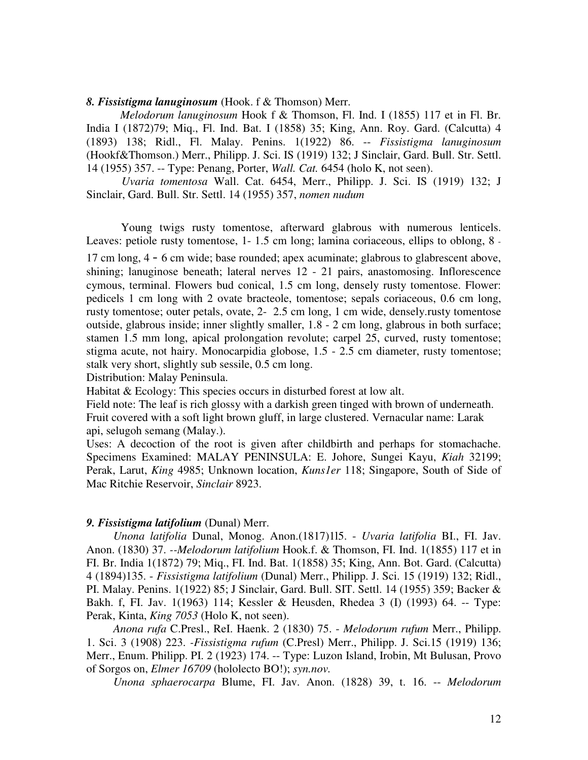#### *8. Fissistigma lanuginosum* (Hook. f & Thomson) Merr.

*Melodorum lanuginosum* Hook f & Thomson, Fl. Ind. I (1855) 117 et in Fl. Br. India I (1872)79; Miq., Fl. Ind. Bat. I (1858) 35; King, Ann. Roy. Gard. (Calcutta) 4 (1893) 138; Ridl., Fl. Malay. Penins. 1(1922) 86. -- *Fissistigma lanuginosum* (Hookf&Thomson.) Merr., Philipp. J. Sci. IS (1919) 132; J Sinclair, Gard. Bull. Str. Settl. 14 (1955) 357. -- Type: Penang, Porter, *Wall. Cat.* 6454 (holo K, not seen).

*Uvaria tomentosa* Wall. Cat. 6454, Merr., Philipp. J. Sci. IS (1919) 132; J Sinclair, Gard. Bull. Str. Settl. 14 (1955) 357, *nomen nudum*

Young twigs rusty tomentose, afterward glabrous with numerous lenticels. Leaves: petiole rusty tomentose, 1- 1.5 cm long; lamina coriaceous, ellips to oblong, 8 - 17 cm long, 4 - 6 cm wide; base rounded; apex acuminate; glabrous to glabrescent above, shining; lanuginose beneath; lateral nerves 12 - 21 pairs, anastomosing. Inflorescence cymous, terminal. Flowers bud conical, 1.5 cm long, densely rusty tomentose. Flower: pedicels 1 cm long with 2 ovate bracteole, tomentose; sepals coriaceous, 0.6 cm long, rusty tomentose; outer petals, ovate, 2- 2.5 cm long, 1 cm wide, densely.rusty tomentose outside, glabrous inside; inner slightly smaller, 1.8 - 2 cm long, glabrous in both surface; stamen 1.5 mm long, apical prolongation revolute; carpel 25, curved, rusty tomentose; stigma acute, not hairy. Monocarpidia globose, 1.5 - 2.5 cm diameter, rusty tomentose; stalk very short, slightly sub sessile, 0.5 cm long.

Distribution: Malay Peninsula.

Habitat & Ecology: This species occurs in disturbed forest at low alt.

Field note: The leaf is rich glossy with a darkish green tinged with brown of underneath. Fruit covered with a soft light brown gluff, in large clustered. Vernacular name: Larak api, selugoh semang (Malay.).

Uses: A decoction of the root is given after childbirth and perhaps for stomachache. Specimens Examined: MALAY PENINSULA: E. Johore, Sungei Kayu, *Kiah* 32199; Perak, Larut, *King* 4985; Unknown location, *Kuns1er* 118; Singapore, South of Side of Mac Ritchie Reservoir, *Sinclair* 8923.

#### *9. Fissistigma latifolium* (Dunal) Merr.

*Unona latifolia* Dunal, Monog. Anon.(1817)1l5. - *Uvaria latifolia* BI., FI. Jav. Anon. (1830) 37. *--Melodorum latifolium* Hook.f. & Thomson, FI. Ind. 1(1855) 117 et in FI. Br. India 1(1872) 79; Miq., FI. Ind. Bat. 1(1858) 35; King, Ann. Bot. Gard. (Calcutta) 4 (1894)135. - *Fissistigma latifolium* (Dunal) Merr., Philipp. J. Sci. 15 (1919) 132; Ridl., PI. Malay. Penins. 1(1922) 85; J Sinclair, Gard. Bull. SIT. Settl. 14 (1955) 359; Backer & Bakh. f, FI. Jav. 1(1963) 114; Kessler & Heusden, Rhedea 3 (I) (1993) 64. -- Type: Perak, Kinta, *King 7053* (Holo K, not seen).

*Anona rufa* C.Presl., ReI. Haenk. 2 (1830) 75. - *Melodorum rufum* Merr., Philipp. 1. Sci. 3 (1908) 223. *-Fissistigma rufum* (C.Presl) Merr., Philipp. J. Sci.15 (1919) 136; Merr., Enum. Philipp. PI. 2 (1923) 174. -- Type: Luzon Island, Irobin, Mt Bulusan, Provo of Sorgos on, *Elmer 16709* (hololecto BO!); *syn.nov.*

*Unona sphaerocarpa* Blume, FI. Jav. Anon. (1828) 39, t. 16. -- *Melodorum*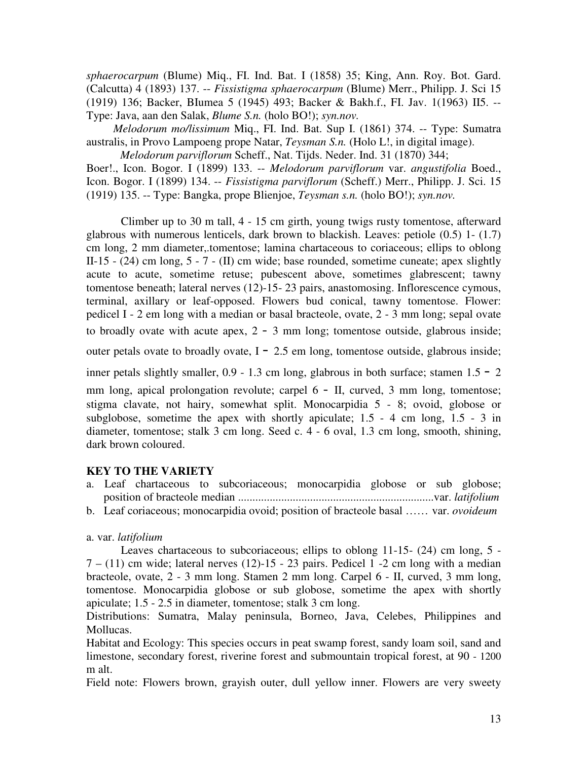*sphaerocarpum* (Blume) Miq., FI. Ind. Bat. I (1858) 35; King, Ann. Roy. Bot. Gard. (Calcutta) 4 (1893) 137. -- *Fissistigma sphaerocarpum* (Blume) Merr., Philipp. J. Sci 15 (1919) 136; Backer, BIumea 5 (1945) 493; Backer & Bakh.f., FI. Jav. 1(1963) II5. -- Type: Java, aan den Salak, *Blume S.n.* (holo BO!); *syn.nov.*

*Melodorum mo/lissimum* Miq., FI. Ind. Bat. Sup I. (1861) 374. -- Type: Sumatra australis, in Provo Lampoeng prope Natar, *Teysman S.n.* (Holo L!, in digital image).

*Melodorum parviflorum* Scheff., Nat. Tijds. Neder. Ind. 31 (1870) 344; Boer!., Icon. Bogor. I (1899) 133. -- *Melodorum parviflorum* var. *angustifolia* Boed., Icon. Bogor. I (1899) 134. -- *Fissistigma parviflorum* (Scheff.) Merr., Philipp. J. Sci. 15 (1919) 135. -- Type: Bangka, prope Blienjoe, *Teysman s.n.* (holo BO!); *syn.nov.*

Climber up to 30 m tall, 4 - 15 cm girth, young twigs rusty tomentose, afterward glabrous with numerous lenticels, dark brown to blackish. Leaves: petiole (0.5) 1- (1.7) cm long, 2 mm diameter,.tomentose; lamina chartaceous to coriaceous; ellips to oblong II-15 - (24) cm long, 5 - 7 - (II) cm wide; base rounded, sometime cuneate; apex slightly acute to acute, sometime retuse; pubescent above, sometimes glabrescent; tawny tomentose beneath; lateral nerves (12)-15- 23 pairs, anastomosing. Inflorescence cymous, terminal, axillary or leaf-opposed. Flowers bud conical, tawny tomentose. Flower: pedicel I - 2 em long with a median or basal bracteole, ovate, 2 - 3 mm long; sepal ovate to broadly ovate with acute apex, 2 - 3 mm long; tomentose outside, glabrous inside;

outer petals ovate to broadly ovate,  $I - 2.5$  em long, tomentose outside, glabrous inside;

inner petals slightly smaller,  $0.9 - 1.3$  cm long, glabrous in both surface; stamen  $1.5 - 2$ 

mm long, apical prolongation revolute; carpel 6 - II, curved, 3 mm long, tomentose; stigma clavate, not hairy, somewhat split. Monocarpidia 5 - 8; ovoid, globose or subglobose, sometime the apex with shortly apiculate;  $1.5 - 4$  cm long,  $1.5 - 3$  in diameter, tomentose; stalk 3 cm long. Seed c. 4 - 6 oval, 1.3 cm long, smooth, shining, dark brown coloured.

# **KEY TO THE VARIETY**

- a. Leaf chartaceous to subcoriaceous; monocarpidia globose or sub globose; position of bracteole median ....................................................................var. *latifolium*
- b. Leaf coriaceous; monocarpidia ovoid; position of bracteole basal …… var. *ovoideum*

# a. var. *latifolium*

Leaves chartaceous to subcoriaceous; ellips to oblong 11-15- (24) cm long, 5 -  $7 - (11)$  cm wide; lateral nerves  $(12)$ -15 - 23 pairs. Pedicel 1 -2 cm long with a median bracteole, ovate, 2 - 3 mm long. Stamen 2 mm long. Carpel 6 - II, curved, 3 mm long, tomentose. Monocarpidia globose or sub globose, sometime the apex with shortly apiculate; 1.5 - 2.5 in diameter, tomentose; stalk 3 cm long.

Distributions: Sumatra, Malay peninsula, Borneo, Java, Celebes, Philippines and Mollucas.

Habitat and Ecology: This species occurs in peat swamp forest, sandy loam soil, sand and limestone, secondary forest, riverine forest and submountain tropical forest, at 90 - 1200 m alt.

Field note: Flowers brown, grayish outer, dull yellow inner. Flowers are very sweety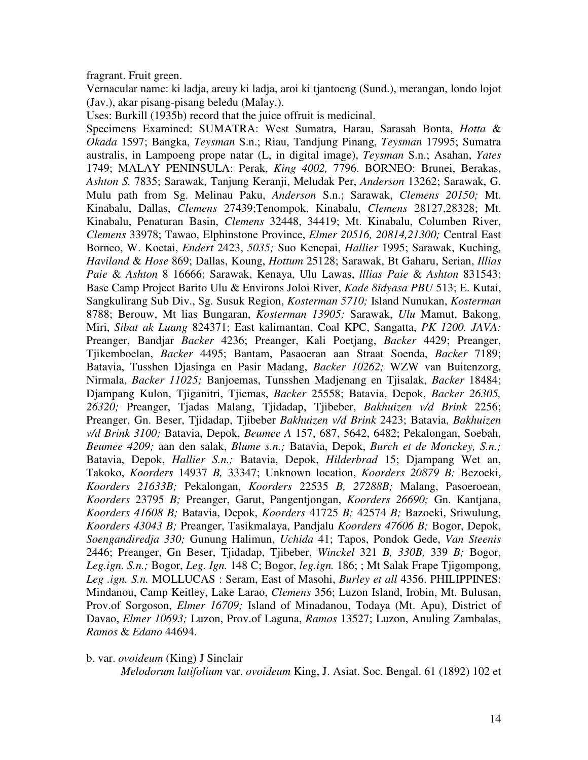fragrant. Fruit green.

Vernacular name: ki ladja, areuy ki ladja, aroi ki tjantoeng (Sund.), merangan, londo lojot (Jav.), akar pisang-pisang beledu (Malay.).

Uses: Burkill (1935b) record that the juice offruit is medicinal.

Specimens Examined: SUMATRA: West Sumatra, Harau, Sarasah Bonta, *Hotta* & *Okada* 1597; Bangka, *Teysman* S.n.; Riau, Tandjung Pinang, *Teysman* 17995; Sumatra australis, in Lampoeng prope natar (L, in digital image), *Teysman* S.n.; Asahan, *Yates* 1749; MALAY PENINSULA: Perak, *King 4002,* 7796. BORNEO: Brunei, Berakas, *Ashton S.* 7835; Sarawak, Tanjung Keranji, Meludak Per, *Anderson* 13262; Sarawak, G. Mulu path from Sg. Melinau Paku, *Anderson* S.n.; Sarawak, *Clemens 20150;* Mt. Kinabalu, Dallas, *Clemens* 27439;Tenompok, Kinabalu, *Clemens* 28127,28328; Mt. Kinabalu, Penaturan Basin, *Clemens* 32448, 34419; Mt. Kinabalu, Columben River, *Clemens* 33978; Tawao, Elphinstone Province, *Elmer 20516, 20814,21300;* Central East Borneo, W. Koetai, *Endert* 2423, *5035;* Suo Kenepai, *Hallier* 1995; Sarawak, Kuching, *Haviland* & *Hose* 869; Dallas, Koung, *Hottum* 25128; Sarawak, Bt Gaharu, Serian, *Illias Paie* & *Ashton* 8 16666; Sarawak, Kenaya, Ulu Lawas, *lllias Paie* & *Ashton* 831543; Base Camp Project Barito Ulu & Environs Joloi River, *Kade 8idyasa PBU* 513; E. Kutai, Sangkulirang Sub Div., Sg. Susuk Region, *Kosterman 5710;* Island Nunukan, *Kosterman* 8788; Berouw, Mt lias Bungaran, *Kosterman 13905;* Sarawak, *Ulu* Mamut, Bakong, Miri, *Sibat ak Luang* 824371; East kalimantan, Coal KPC, Sangatta, *PK 1200. JAVA:* Preanger, Bandjar *Backer* 4236; Preanger, Kali Poetjang, *Backer* 4429; Preanger, Tjikemboelan, *Backer* 4495; Bantam, Pasaoeran aan Straat Soenda, *Backer* 7189; Batavia, Tusshen Djasinga en Pasir Madang, *Backer 10262;* WZW van Buitenzorg, Nirmala, *Backer 11025;* Banjoemas, Tunsshen Madjenang en Tjisalak, *Backer* 18484; Djampang Kulon, Tjiganitri, Tjiemas, *Backer* 25558; Batavia, Depok, *Backer 26305, 26320;* Preanger, Tjadas Malang, Tjidadap, Tjibeber, *Bakhuizen v/d Brink* 2256; Preanger, Gn. Beser, Tjidadap, Tjibeber *Bakhuizen v/d Brink* 2423; Batavia, *Bakhuizen v/d Brink 3100;* Batavia, Depok, *Beumee A* 157, 687, 5642, 6482; Pekalongan, Soebah, *Beumee 4209;* aan den salak, *Blume s.n.;* Batavia, Depok, *Burch et de Monckey, S.n.;* Batavia, Depok, *Hallier S.n.;* Batavia, Depok, *Hilderbrad* 15; Djampang Wet an, Takoko, *Koorders* 14937 *B,* 33347; Unknown location, *Koorders 20879 B;* Bezoeki, *Koorders 21633B;* Pekalongan, *Koorders* 22535 *B, 27288B;* Malang, Pasoeroean, *Koorders* 23795 *B;* Preanger, Garut, Pangentjongan, *Koorders 26690;* Gn. Kantjana, *Koorders 41608 B;* Batavia, Depok, *Koorders* 41725 *B;* 42574 *B;* Bazoeki, Sriwulung, *Koorders 43043 B;* Preanger, Tasikmalaya, Pandjalu *Koorders 47606 B;* Bogor, Depok, *Soengandiredja 330;* Gunung Halimun, *Uchida* 41; Tapos, Pondok Gede, *Van Steenis* 2446; Preanger, Gn Beser, Tjidadap, Tjibeber, *Winckel* 321 *B, 330B,* 339 *B;* Bogor, *Leg.ign. S.n.;* Bogor, *Leg. Ign.* 148 C; Bogor, *leg.ign.* 186; ; Mt Salak Frape Tjigompong, *Leg .ign. S.n.* MOLLUCAS : Seram, East of Masohi, *Burley et all* 4356. PHILIPPINES: Mindanou, Camp Keitley, Lake Larao, *Clemens* 356; Luzon Island, Irobin, Mt. Bulusan, Prov.of Sorgoson, *Elmer 16709;* Island of Minadanou, Todaya (Mt. Apu), District of Davao, *Elmer 10693;* Luzon, Prov.of Laguna, *Ramos* 13527; Luzon, Anuling Zambalas, *Ramos* & *Edano* 44694.

#### b. var. *ovoideum* (King) J Sinclair

*Melodorum latifolium* var. *ovoideum* King, J. Asiat. Soc. Bengal. 61 (1892) 102 et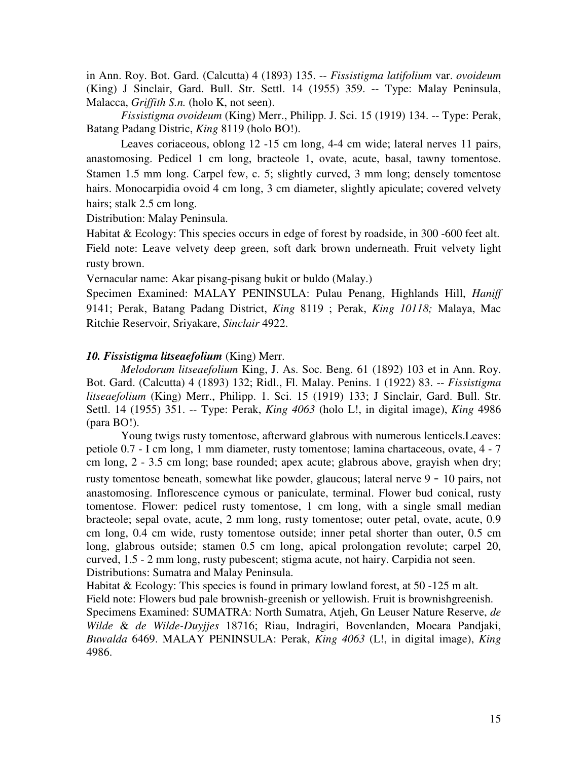in Ann. Roy. Bot. Gard. (Calcutta) 4 (1893) 135. -- *Fissistigma latifolium* var. *ovoideum* (King) J Sinclair, Gard. Bull. Str. Settl. 14 (1955) 359. -- Type: Malay Peninsula, Malacca, *Griffith S.n.* (holo K, not seen).

*Fissistigma ovoideum* (King) Merr., Philipp. J. Sci. 15 (1919) 134. -- Type: Perak, Batang Padang Distric, *King* 8119 (holo BO!).

Leaves coriaceous, oblong 12 -15 cm long, 4-4 cm wide; lateral nerves 11 pairs, anastomosing. Pedicel 1 cm long, bracteole 1, ovate, acute, basal, tawny tomentose. Stamen 1.5 mm long. Carpel few, c. 5; slightly curved, 3 mm long; densely tomentose hairs. Monocarpidia ovoid 4 cm long, 3 cm diameter, slightly apiculate; covered velvety hairs; stalk 2.5 cm long.

Distribution: Malay Peninsula.

Habitat & Ecology: This species occurs in edge of forest by roadside, in 300 -600 feet alt. Field note: Leave velvety deep green, soft dark brown underneath. Fruit velvety light rusty brown.

Vernacular name: Akar pisang-pisang bukit or buldo (Malay.)

Specimen Examined: MALAY PENINSULA: Pulau Penang, Highlands Hill, *Haniff* 9141; Perak, Batang Padang District, *King* 8119 ; Perak, *King 10118;* Malaya, Mac Ritchie Reservoir, Sriyakare, *Sinclair* 4922.

### *10. Fissistigma litseaefolium* (King) Merr.

*Melodorum litseaefolium* King, J. As. Soc. Beng. 61 (1892) 103 et in Ann. Roy. Bot. Gard. (Calcutta) 4 (1893) 132; Ridl., Fl. Malay. Penins. 1 (1922) 83. -- *Fissistigma litseaefolium* (King) Merr., Philipp. 1. Sci. 15 (1919) 133; J Sinclair, Gard. Bull. Str. Settl. 14 (1955) 351. -- Type: Perak, *King 4063* (holo L!, in digital image), *King* 4986 (para BO!).

Young twigs rusty tomentose, afterward glabrous with numerous lenticels.Leaves: petiole 0.7 - I cm long, 1 mm diameter, rusty tomentose; lamina chartaceous, ovate, 4 - 7 cm long, 2 - 3.5 cm long; base rounded; apex acute; glabrous above, grayish when dry; rusty tomentose beneath, somewhat like powder, glaucous; lateral nerve 9 - 10 pairs, not anastomosing. Inflorescence cymous or paniculate, terminal. Flower bud conical, rusty tomentose. Flower: pedicel rusty tomentose, 1 cm long, with a single small median bracteole; sepal ovate, acute, 2 mm long, rusty tomentose; outer petal, ovate, acute, 0.9 cm long, 0.4 cm wide, rusty tomentose outside; inner petal shorter than outer, 0.5 cm long, glabrous outside; stamen 0.5 cm long, apical prolongation revolute; carpel 20, curved, 1.5 - 2 mm long, rusty pubescent; stigma acute, not hairy. Carpidia not seen. Distributions: Sumatra and Malay Peninsula.

Habitat & Ecology: This species is found in primary lowland forest, at 50 -125 m alt. Field note: Flowers bud pale brownish-greenish or yellowish. Fruit is brownishgreenish. Specimens Examined: SUMATRA: North Sumatra, Atjeh, Gn Leuser Nature Reserve, *de Wilde* & *de Wilde-Duyjjes* 18716; Riau, Indragiri, Bovenlanden, Moeara Pandjaki, *Buwalda* 6469. MALAY PENINSULA: Perak, *King 4063* (L!, in digital image), *King* 4986.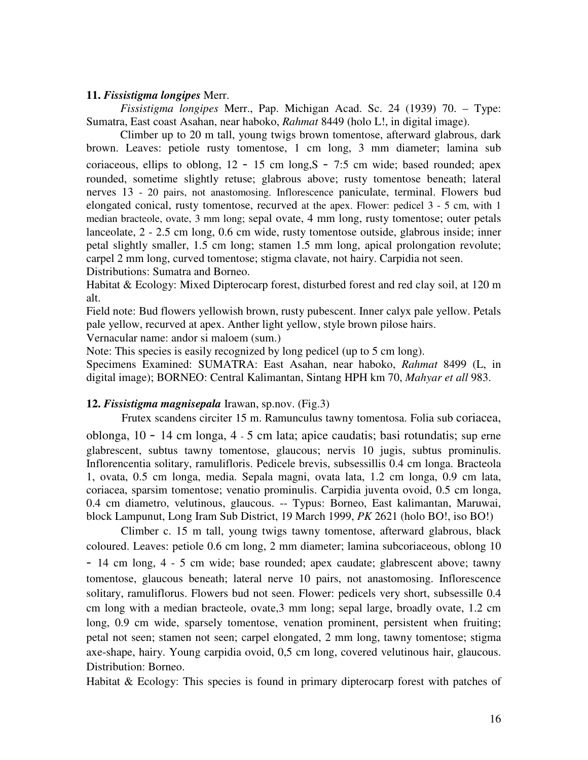### **11.** *Fissistigma longipes* Merr.

*Fissistigma longipes* Merr., Pap. Michigan Acad. Sc. 24 (1939) 70. – Type: Sumatra, East coast Asahan, near haboko, *Rahmat* 8449 (holo L!, in digital image).

Climber up to 20 m tall, young twigs brown tomentose, afterward glabrous, dark brown. Leaves: petiole rusty tomentose, 1 cm long, 3 mm diameter; lamina sub coriaceous, ellips to oblong,  $12 - 15$  cm long,  $S - 7:5$  cm wide; based rounded; apex rounded, sometime slightly retuse; glabrous above; rusty tomentose beneath; lateral nerves 13 - 20 pairs, not anastomosing. Inflorescence paniculate, terminal. Flowers bud elongated conical, rusty tomentose, recurved at the apex. Flower: pedicel 3 - 5 cm, with 1 median bracteole, ovate, 3 mm long; sepal ovate, 4 mm long, rusty tomentose; outer petals lanceolate, 2 - 2.5 cm long, 0.6 cm wide, rusty tomentose outside, glabrous inside; inner petal slightly smaller, 1.5 cm long; stamen 1.5 mm long, apical prolongation revolute; carpel 2 mm long, curved tomentose; stigma clavate, not hairy. Carpidia not seen. Distributions: Sumatra and Borneo.

Habitat & Ecology: Mixed Dipterocarp forest, disturbed forest and red clay soil, at 120 m alt.

Field note: Bud flowers yellowish brown, rusty pubescent. Inner calyx pale yellow. Petals pale yellow, recurved at apex. Anther light yellow, style brown pilose hairs.

Vernacular name: andor si maloem (sum.)

Note: This species is easily recognized by long pedicel (up to 5 cm long).

Specimens Examined: SUMATRA: East Asahan, near haboko, *Rahmat* 8499 (L, in digital image); BORNEO: Central Kalimantan, Sintang HPH km 70, *Mahyar et all* 983.

### **12.** *Fissistigma magnisepala* Irawan, sp.nov. (Fig.3)

Frutex scandens circiter 15 m. Ramunculus tawny tomentosa. Folia sub coriacea,

oblonga, 10 - 14 cm longa, 4 - 5 cm lata; apice caudatis; basi rotundatis; sup erne glabrescent, subtus tawny tomentose, glaucous; nervis 10 jugis, subtus prominulis. Inflorencentia solitary, ramulifloris. Pedicele brevis, subsessillis 0.4 cm longa. Bracteola 1, ovata, 0.5 cm longa, media. Sepala magni, ovata lata, 1.2 cm longa, 0.9 cm lata, coriacea, sparsim tomentose; venatio prominulis. Carpidia juventa ovoid, 0.5 cm longa, 0.4 cm diametro, velutinous, glaucous. -- Typus: Borneo, East kalimantan, Maruwai, block Lampunut, Long Iram Sub District, 19 March 1999, *PK* 2621 (holo BO!, iso BO!)

Climber c. 15 m tall, young twigs tawny tomentose, afterward glabrous, black coloured. Leaves: petiole 0.6 cm long, 2 mm diameter; lamina subcoriaceous, oblong 10 - 14 cm long, 4 - 5 cm wide; base rounded; apex caudate; glabrescent above; tawny tomentose, glaucous beneath; lateral nerve 10 pairs, not anastomosing. Inflorescence solitary, ramuliflorus. Flowers bud not seen. Flower: pedicels very short, subsessille 0.4 cm long with a median bracteole, ovate,3 mm long; sepal large, broadly ovate, 1.2 cm long, 0.9 cm wide, sparsely tomentose, venation prominent, persistent when fruiting; petal not seen; stamen not seen; carpel elongated, 2 mm long, tawny tomentose; stigma axe-shape, hairy. Young carpidia ovoid, 0,5 cm long, covered velutinous hair, glaucous. Distribution: Borneo.

Habitat  $\&$  Ecology: This species is found in primary dipterocarp forest with patches of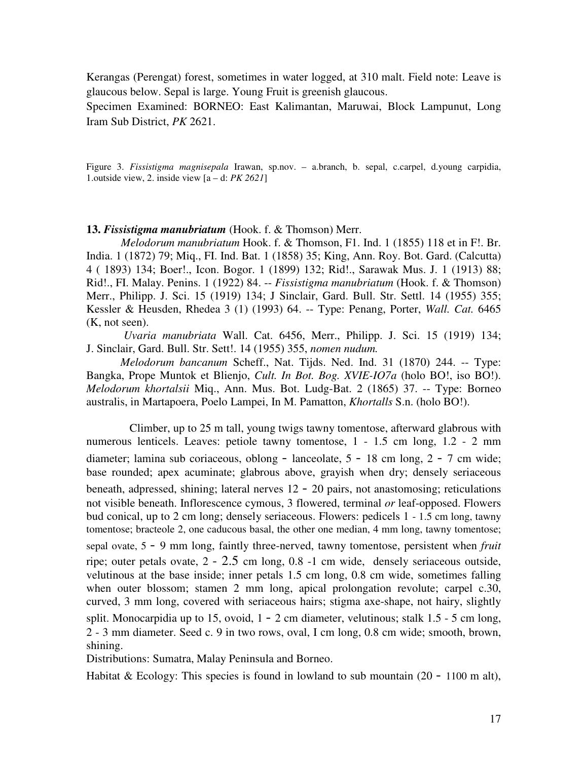Kerangas (Perengat) forest, sometimes in water logged, at 310 malt. Field note: Leave is glaucous below. Sepal is large. Young Fruit is greenish glaucous.

Specimen Examined: BORNEO: East Kalimantan, Maruwai, Block Lampunut, Long Iram Sub District, *PK* 2621.

Figure 3. *Fissistigma magnisepala* Irawan, sp.nov. – a.branch, b. sepal, c.carpel, d.young carpidia, 1.outside view, 2. inside view [a – d: *PK 2621*]

### **13.** *Fissistigma manubriatum* (Hook. f. & Thomson) Merr.

*Melodorum manubriatum* Hook. f. & Thomson, F1. Ind. 1 (1855) 118 et in F!. Br. India. 1 (1872) 79; Miq., FI. Ind. Bat. 1 (1858) 35; King, Ann. Roy. Bot. Gard. (Calcutta) 4 ( 1893) 134; Boer!., Icon. Bogor. 1 (1899) 132; Rid!., Sarawak Mus. J. 1 (1913) 88; Rid!., FI. Malay. Penins. 1 (1922) 84. -- *Fissistigma manubriatum* (Hook. f. & Thomson) Merr., Philipp. J. Sci. 15 (1919) 134; J Sinclair, Gard. Bull. Str. Settl. 14 (1955) 355; Kessler & Heusden, Rhedea 3 (1) (1993) 64. -- Type: Penang, Porter, *Wall. Cat.* 6465 (K, not seen).

*Uvaria manubriata* Wall. Cat. 6456, Merr., Philipp. J. Sci. 15 (1919) 134; J. Sinclair, Gard. Bull. Str. Sett!. 14 (1955) 355, *nomen nudum.*

*Melodorum bancanum* Scheff., Nat. Tijds. Ned. Ind. 31 (1870) 244. -- Type: Bangka, Prope Muntok et Blienjo, *Cult. In Bot. Bog. XVIE-IO7a* (holo BO!, iso BO!). *Melodorum khortalsii* Miq., Ann. Mus. Bot. Ludg-Bat. 2 (1865) 37. -- Type: Borneo australis, in Martapoera, Poelo Lampei, In M. Pamatton, *Khortalls* S.n. (holo BO!).

Climber, up to 25 m tall, young twigs tawny tomentose, afterward glabrous with numerous lenticels. Leaves: petiole tawny tomentose,  $1 - 1.5$  cm long,  $1.2 - 2$  mm diameter; lamina sub coriaceous, oblong - lanceolate, 5 - 18 cm long, 2 - 7 cm wide; base rounded; apex acuminate; glabrous above, grayish when dry; densely seriaceous beneath, adpressed, shining; lateral nerves 12 - 20 pairs, not anastomosing; reticulations not visible beneath. Inflorescence cymous, 3 flowered, terminal *or* leaf-opposed. Flowers bud conical, up to 2 cm long; densely seriaceous. Flowers: pedicels 1 - 1.5 cm long, tawny tomentose; bracteole 2, one caducous basal, the other one median, 4 mm long, tawny tomentose; sepal ovate, <sup>5</sup> - 9 mm long, faintly three-nerved, tawny tomentose, persistent when *fruit* ripe; outer petals ovate, 2 - 2.5 cm long, 0.8 -1 cm wide, densely seriaceous outside, velutinous at the base inside; inner petals 1.5 cm long, 0.8 cm wide, sometimes falling when outer blossom; stamen 2 mm long, apical prolongation revolute; carpel c.30, curved, 3 mm long, covered with seriaceous hairs; stigma axe-shape, not hairy, slightly split. Monocarpidia up to 15, ovoid,  $1 - 2$  cm diameter, velutinous; stalk  $1.5 - 5$  cm long, 2 - 3 mm diameter. Seed c. 9 in two rows, oval, I cm long, 0.8 cm wide; smooth, brown, shining.

Distributions: Sumatra, Malay Peninsula and Borneo.

Habitat & Ecology: This species is found in lowland to sub mountain  $(20 - 1100 \text{ m alt})$ ,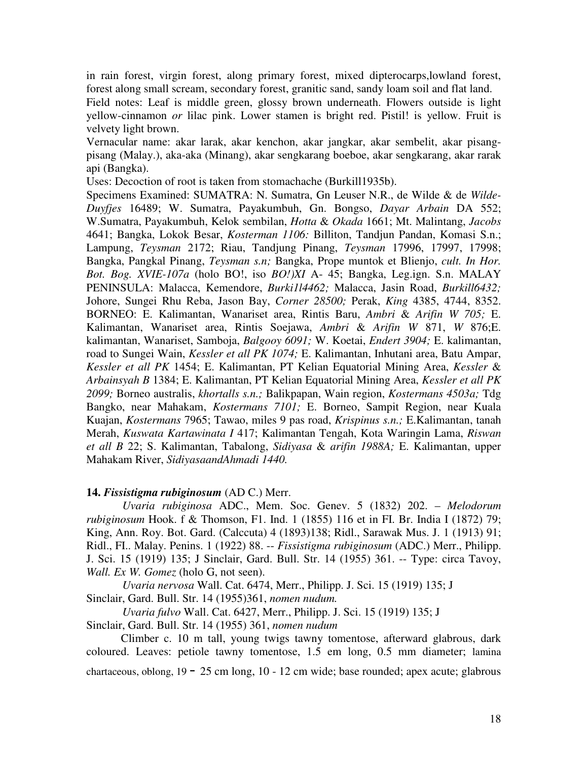in rain forest, virgin forest, along primary forest, mixed dipterocarps,lowland forest, forest along small scream, secondary forest, granitic sand, sandy loam soil and flat land.

Field notes: Leaf is middle green, glossy brown underneath. Flowers outside is light yellow-cinnamon *or* lilac pink. Lower stamen is bright red. Pistil! is yellow. Fruit is velvety light brown.

Vernacular name: akar larak, akar kenchon, akar jangkar, akar sembelit, akar pisangpisang (Malay.), aka-aka (Minang), akar sengkarang boeboe, akar sengkarang, akar rarak api (Bangka).

Uses: Decoction of root is taken from stomachache (Burkill1935b).

Specimens Examined: SUMATRA: N. Sumatra, Gn Leuser N.R., de Wilde & de *Wilde-Duyfjes* 16489; W. Sumatra, Payakumbuh, Gn. Bongso, *Dayar Arbain* DA 552; W.Sumatra, Payakumbuh, Kelok sembilan, *Hotta* & *Okada* 1661; Mt. Malintang, *Jacobs* 4641; Bangka, Lokok Besar, *Kosterman 1106:* Billiton, Tandjun Pandan, Komasi S.n.; Lampung, *Teysman* 2172; Riau, Tandjung Pinang, *Teysman* 17996, 17997, 17998; Bangka, Pangkal Pinang, *Teysman s.n;* Bangka, Prope muntok et Blienjo, *cult. In Hor. Bot. Bog. XVIE-107a* (holo BO!, iso *BO!)XI* A- 45; Bangka, Leg.ign. S.n. MALAY PENINSULA: Malacca, Kemendore, *Burki1l4462;* Malacca, Jasin Road, *Burkill6432;* Johore, Sungei Rhu Reba, Jason Bay, *Corner 28500;* Perak, *King* 4385, 4744, 8352. BORNEO: E. Kalimantan, Wanariset area, Rintis Baru, *Ambri* & *Arifin W 705;* E. Kalimantan, Wanariset area, Rintis Soejawa, *Ambri* & *Arifin W* 871, *W* 876;E. kalimantan, Wanariset, Samboja, *Balgooy 6091;* W. Koetai, *Endert 3904;* E. kalimantan, road to Sungei Wain, *Kessler et all PK 1074;* E. Kalimantan, Inhutani area, Batu Ampar, *Kessler et all PK* 1454; E. Kalimantan, PT Kelian Equatorial Mining Area, *Kessler* & *Arbainsyah B* 1384; E. Kalimantan, PT Kelian Equatorial Mining Area, *Kessler et all PK 2099;* Borneo australis, *khortalls s.n.;* Balikpapan, Wain region, *Kostermans 4503a;* Tdg Bangko, near Mahakam, *Kostermans 7101;* E. Borneo, Sampit Region, near Kuala Kuajan, *Kostermans* 7965; Tawao, miles 9 pas road, *Krispinus s.n.;* E.Kalimantan, tanah Merah, *Kuswata Kartawinata I* 417; Kalimantan Tengah, Kota Waringin Lama, *Riswan et all B* 22; S. Kalimantan, Tabalong, *Sidiyasa* & *arifin 1988A;* E. Kalimantan, upper Mahakam River, *SidiyasaandAhmadi 1440.*

#### **14.** *Fissistigma rubiginosum* (AD C.) Merr.

*Uvaria rubiginosa* ADC., Mem. Soc. Genev. 5 (1832) 202. – *Melodorum rubiginosum* Hook. f & Thomson, F1. Ind. 1 (1855) 116 et in FI. Br. India I (1872) 79; King, Ann. Roy. Bot. Gard. (Calccuta) 4 (1893)138; Ridl., Sarawak Mus. J. 1 (1913) 91; Ridl., FI.. Malay. Penins. 1 (1922) 88. -- *Fissistigma rubiginosum* (ADC.) Merr., Philipp. J. Sci. 15 (1919) 135; J Sinclair, Gard. Bull. Str. 14 (1955) 361. -- Type: circa Tavoy, *Wall. Ex W. Gomez* (holo G, not seen).

*Uvaria nervosa* Wall. Cat. 6474, Merr., Philipp. J. Sci. 15 (1919) 135; J Sinclair, Gard. Bull. Str. 14 (1955)361, *nomen nudum.*

*Uvaria fulvo* Wall. Cat. 6427, Merr., Philipp. J. Sci. 15 (1919) 135; J

Sinclair, Gard. Bull. Str. 14 (1955) 361, *nomen nudum*

Climber c. 10 m tall, young twigs tawny tomentose, afterward glabrous, dark coloured. Leaves: petiole tawny tomentose, 1.5 em long, 0.5 mm diameter; lamina chartaceous, oblong,  $19 - 25$  cm long,  $10 - 12$  cm wide; base rounded; apex acute; glabrous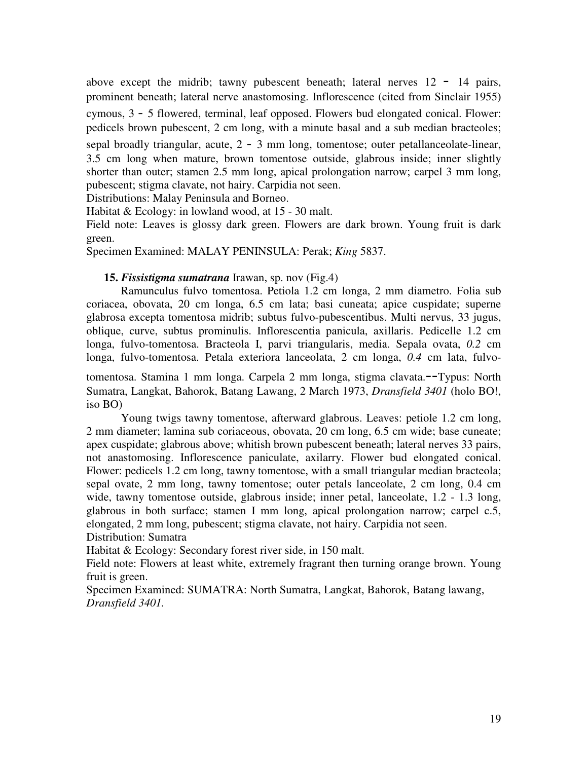above except the midrib; tawny pubescent beneath; lateral nerves  $12 - 14$  pairs, prominent beneath; lateral nerve anastomosing. Inflorescence (cited from Sinclair 1955) cymous, 3 - 5 flowered, terminal, leaf opposed. Flowers bud elongated conical. Flower: pedicels brown pubescent, 2 cm long, with a minute basal and a sub median bracteoles;

sepal broadly triangular, acute, 2 - 3 mm long, tomentose; outer petallanceolate-linear, 3.5 cm long when mature, brown tomentose outside, glabrous inside; inner slightly shorter than outer; stamen 2.5 mm long, apical prolongation narrow; carpel 3 mm long, pubescent; stigma clavate, not hairy. Carpidia not seen.

Distributions: Malay Peninsula and Borneo.

Habitat & Ecology: in lowland wood, at 15 - 30 malt.

Field note: Leaves is glossy dark green. Flowers are dark brown. Young fruit is dark green.

Specimen Examined: MALAY PENINSULA: Perak; *King* 5837.

# **15.** *Fissistigma sumatrana* Irawan, sp. nov (Fig.4)

Ramunculus fulvo tomentosa. Petiola 1.2 cm longa, 2 mm diametro. Folia sub coriacea, obovata, 20 cm longa, 6.5 cm lata; basi cuneata; apice cuspidate; superne glabrosa excepta tomentosa midrib; subtus fulvo-pubescentibus. Multi nervus, 33 jugus, oblique, curve, subtus prominulis. Inflorescentia panicula, axillaris. Pedicelle 1.2 cm longa, fulvo-tomentosa. Bracteola I, parvi triangularis, media. Sepala ovata, *0.2* cm longa, fulvo-tomentosa. Petala exteriora lanceolata, 2 cm longa, *0.4* cm lata, fulvo-

tomentosa. Stamina 1 mm longa. Carpela 2 mm longa, stigma clavata.--Typus: North Sumatra, Langkat, Bahorok, Batang Lawang, 2 March 1973, *Dransfield 3401* (holo BO!, iso BO)

Young twigs tawny tomentose, afterward glabrous. Leaves: petiole 1.2 cm long, 2 mm diameter; lamina sub coriaceous, obovata, 20 cm long, 6.5 cm wide; base cuneate; apex cuspidate; glabrous above; whitish brown pubescent beneath; lateral nerves 33 pairs, not anastomosing. Inflorescence paniculate, axilarry. Flower bud elongated conical. Flower: pedicels 1.2 cm long, tawny tomentose, with a small triangular median bracteola; sepal ovate, 2 mm long, tawny tomentose; outer petals lanceolate, 2 cm long, 0.4 cm wide, tawny tomentose outside, glabrous inside; inner petal, lanceolate, 1.2 - 1.3 long, glabrous in both surface; stamen I mm long, apical prolongation narrow; carpel c.5, elongated, 2 mm long, pubescent; stigma clavate, not hairy. Carpidia not seen. Distribution: Sumatra

Habitat & Ecology: Secondary forest river side, in 150 malt.

Field note: Flowers at least white, extremely fragrant then turning orange brown. Young fruit is green.

Specimen Examined: SUMATRA: North Sumatra, Langkat, Bahorok, Batang lawang, *Dransfield 3401.*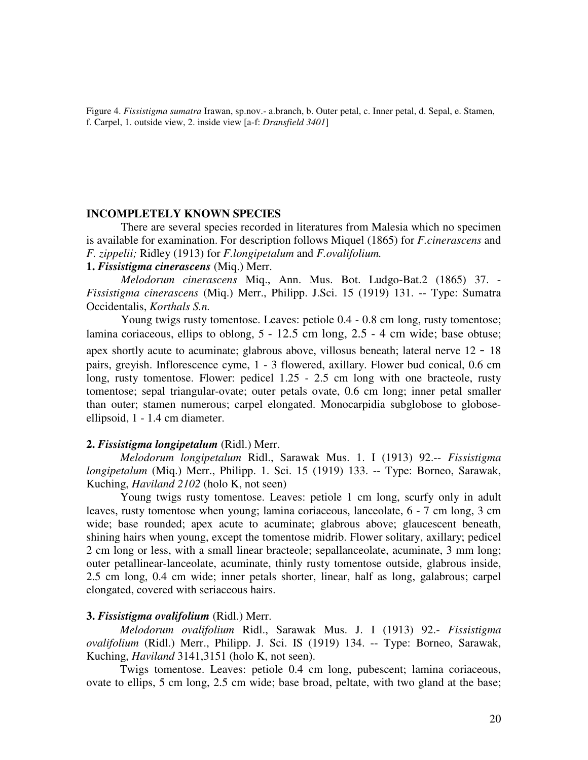Figure 4. *Fissistigma sumatra* Irawan, sp.nov.- a.branch, b. Outer petal, c. Inner petal, d. Sepal, e. Stamen, f. Carpel, 1. outside view, 2. inside view [a-f: *Dransfield 3401*]

#### **INCOMPLETELY KNOWN SPECIES**

There are several species recorded in literatures from Malesia which no specimen is available for examination. For description follows Miquel (1865) for *F.cinerascens* and *F. zippelii;* Ridley (1913) for *F.longipetalum* and *F.ovalifolium.*

# **1.** *Fissistigma cinerascens* (Miq.) Merr.

*Melodorum cinerascens* Miq., Ann. Mus. Bot. Ludgo-Bat.2 (1865) 37. - *Fissistigma cinerascens* (Miq.) Merr., Philipp. J.Sci. 15 (1919) 131. -- Type: Sumatra Occidentalis, *Korthals S.n.*

Young twigs rusty tomentose. Leaves: petiole 0.4 - 0.8 cm long, rusty tomentose; lamina coriaceous, ellips to oblong, 5 - 12.5 cm long, 2.5 - 4 cm wide; base obtuse; apex shortly acute to acuminate; glabrous above, villosus beneath; lateral nerve 12 - 18 pairs, greyish. Inflorescence cyme, 1 - 3 flowered, axillary. Flower bud conical, 0.6 cm long, rusty tomentose. Flower: pedicel 1.25 - 2.5 cm long with one bracteole, rusty tomentose; sepal triangular-ovate; outer petals ovate, 0.6 cm long; inner petal smaller than outer; stamen numerous; carpel elongated. Monocarpidia subglobose to globoseellipsoid, 1 - 1.4 cm diameter.

#### **2.** *Fissistigma longipetalum* (Ridl.) Merr.

*Melodorum longipetalum* Ridl., Sarawak Mus. 1. I (1913) 92.-- *Fissistigma longipetalum* (Miq.) Merr., Philipp. 1. Sci. 15 (1919) 133. -- Type: Borneo, Sarawak, Kuching, *Haviland 2102* (holo K, not seen)

Young twigs rusty tomentose. Leaves: petiole 1 cm long, scurfy only in adult leaves, rusty tomentose when young; lamina coriaceous, lanceolate, 6 - 7 cm long, 3 cm wide; base rounded; apex acute to acuminate; glabrous above; glaucescent beneath, shining hairs when young, except the tomentose midrib. Flower solitary, axillary; pedicel 2 cm long or less, with a small linear bracteole; sepallanceolate, acuminate, 3 mm long; outer petallinear-lanceolate, acuminate, thinly rusty tomentose outside, glabrous inside, 2.5 cm long, 0.4 cm wide; inner petals shorter, linear, half as long, galabrous; carpel elongated, covered with seriaceous hairs.

### **3.** *Fissistigma ovalifolium* (Ridl.) Merr.

*Melodorum ovalifolium* Ridl., Sarawak Mus. J. I (1913) 92.- *Fissistigma ovalifolium* (Ridl.) Merr., Philipp. J. Sci. IS (1919) 134. -- Type: Borneo, Sarawak, Kuching, *Haviland* 3141,3151 (holo K, not seen).

Twigs tomentose. Leaves: petiole 0.4 cm long, pubescent; lamina coriaceous, ovate to ellips, 5 cm long, 2.5 cm wide; base broad, peltate, with two gland at the base;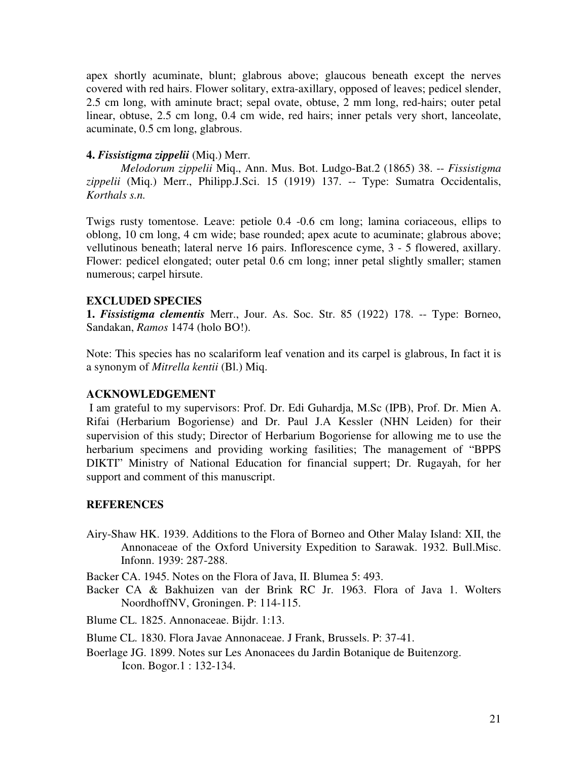apex shortly acuminate, blunt; glabrous above; glaucous beneath except the nerves covered with red hairs. Flower solitary, extra-axillary, opposed of leaves; pedicel slender, 2.5 cm long, with aminute bract; sepal ovate, obtuse, 2 mm long, red-hairs; outer petal linear, obtuse, 2.5 cm long, 0.4 cm wide, red hairs; inner petals very short, lanceolate, acuminate, 0.5 cm long, glabrous.

### **4.** *Fissistigma zippelii* (Miq.) Merr.

*Melodorum zippelii* Miq., Ann. Mus. Bot. Ludgo-Bat.2 (1865) 38. -- *Fissistigma zippelii* (Miq.) Merr., Philipp.J.Sci. 15 (1919) 137. -- Type: Sumatra Occidentalis, *Korthals s.n.*

Twigs rusty tomentose. Leave: petiole 0.4 -0.6 cm long; lamina coriaceous, ellips to oblong, 10 cm long, 4 cm wide; base rounded; apex acute to acuminate; glabrous above; vellutinous beneath; lateral nerve 16 pairs. Inflorescence cyme, 3 - 5 flowered, axillary. Flower: pedicel elongated; outer petal 0.6 cm long; inner petal slightly smaller; stamen numerous; carpel hirsute.

## **EXCLUDED SPECIES**

**1.** *Fissistigma clementis* Merr., Jour. As. Soc. Str. 85 (1922) 178. -- Type: Borneo, Sandakan, *Ramos* 1474 (holo BO!).

Note: This species has no scalariform leaf venation and its carpel is glabrous, In fact it is a synonym of *Mitrella kentii* (Bl.) Miq.

#### **ACKNOWLEDGEMENT**

I am grateful to my supervisors: Prof. Dr. Edi Guhardja, M.Sc (IPB), Prof. Dr. Mien A. Rifai (Herbarium Bogoriense) and Dr. Paul J.A Kessler (NHN Leiden) for their supervision of this study; Director of Herbarium Bogoriense for allowing me to use the herbarium specimens and providing working fasilities; The management of "BPPS DIKTI" Ministry of National Education for financial suppert; Dr. Rugayah, for her support and comment of this manuscript.

### **REFERENCES**

Airy-Shaw HK. 1939. Additions to the Flora of Borneo and Other Malay Island: XII, the Annonaceae of the Oxford University Expedition to Sarawak. 1932. Bull.Misc. Infonn. 1939: 287-288.

Backer CA. 1945. Notes on the Flora of Java, II. Blumea 5: 493.

Backer CA & Bakhuizen van der Brink RC Jr. 1963. Flora of Java 1. Wolters NoordhoffNV, Groningen. P: 114-115.

Blume CL. 1825. Annonaceae. Bijdr. 1:13.

- Blume CL. 1830. Flora Javae Annonaceae. J Frank, Brussels. P: 37-41.
- Boerlage JG. 1899. Notes sur Les Anonacees du Jardin Botanique de Buitenzorg. Icon. Bogor.1 : 132-134.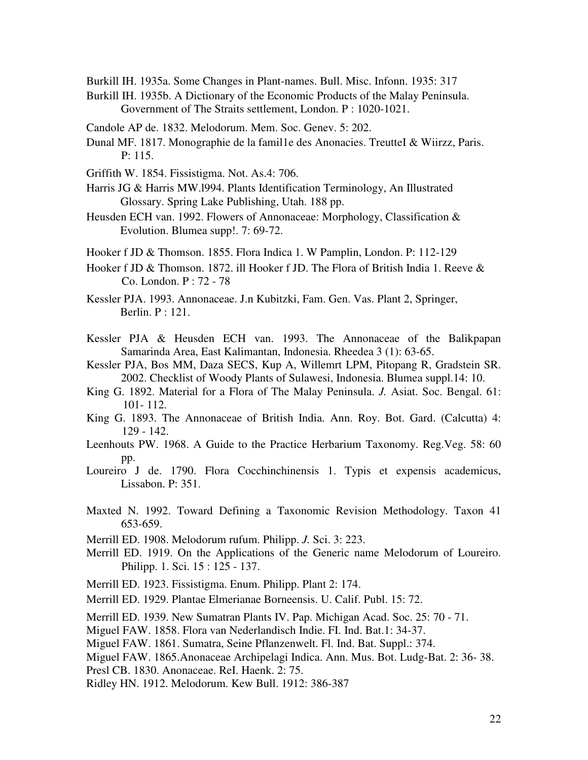Burkill IH. 1935a. Some Changes in Plant-names. Bull. Misc. Infonn. 1935: 317

- Burkill IH. 1935b. A Dictionary of the Economic Products of the Malay Peninsula. Government of The Straits settlement, London. P : 1020-1021.
- Candole AP de. 1832. Melodorum. Mem. Soc. Genev. 5: 202.
- Dunal MF. 1817. Monographie de la famil1e des Anonacies. TreutteI & Wiirzz, Paris. P: 115.
- Griffith W. 1854. Fissistigma. Not. As.4: 706.
- Harris JG & Harris MW.l994. Plants Identification Terminology, An Illustrated Glossary. Spring Lake Publishing, Utah. 188 pp.
- Heusden ECH van. 1992. Flowers of Annonaceae: Morphology, Classification & Evolution. Blumea supp!. 7: 69-72.
- Hooker f JD & Thomson. 1855. Flora Indica 1. W Pamplin, London. P: 112-129
- Hooker f JD & Thomson. 1872. ill Hooker f JD. The Flora of British India 1. Reeve & Co. London. P : 72 - 78
- Kessler PJA. 1993. Annonaceae. J.n Kubitzki, Fam. Gen. Vas. Plant 2, Springer, Berlin. P : 121.
- Kessler PJA & Heusden ECH van. 1993. The Annonaceae of the Balikpapan Samarinda Area, East Kalimantan, Indonesia. Rheedea 3 (1): 63-65.
- Kessler PJA, Bos MM, Daza SECS, Kup A, Willemrt LPM, Pitopang R, Gradstein SR. 2002. Checklist of Woody Plants of Sulawesi, Indonesia. Blumea suppl.14: 10.
- King G. 1892. Material for a Flora of The Malay Peninsula. *J.* Asiat. Soc. Bengal. 61: 101- 112.
- King G. 1893. The Annonaceae of British India. Ann. Roy. Bot. Gard. (Calcutta) 4: 129 - 142.
- Leenhouts PW. 1968. A Guide to the Practice Herbarium Taxonomy. Reg.Veg. 58: 60 pp.
- Loureiro J de. 1790. Flora Cocchinchinensis 1. Typis et expensis academicus, Lissabon. P: 351.
- Maxted N. 1992. Toward Defining a Taxonomic Revision Methodology. Taxon 41 653-659.
- Merrill ED. 1908. Melodorum rufum. Philipp. *J.* Sci. 3: 223.
- Merrill ED. 1919. On the Applications of the Generic name Melodorum of Loureiro. Philipp. 1. Sci. 15 : 125 - 137.
- Merrill ED. 1923. Fissistigma. Enum. Philipp. Plant 2: 174.
- Merrill ED. 1929. Plantae Elmerianae Borneensis. U. Calif. Publ. 15: 72.
- Merrill ED. 1939. New Sumatran Plants IV. Pap. Michigan Acad. Soc. 25: 70 71.
- Miguel FAW. 1858. Flora van Nederlandisch Indie. FI. Ind. Bat.1: 34-37.
- Miguel FAW. 1861. Sumatra, Seine Pflanzenwelt. Fl. Ind. Bat. Suppl.: 374.
- Miguel FAW. 1865.Anonaceae Archipelagi Indica. Ann. Mus. Bot. Ludg-Bat. 2: 36- 38.
- Presl CB. 1830. Anonaceae. ReI. Haenk. 2: 75.
- Ridley HN. 1912. Melodorum. Kew Bull. 1912: 386-387